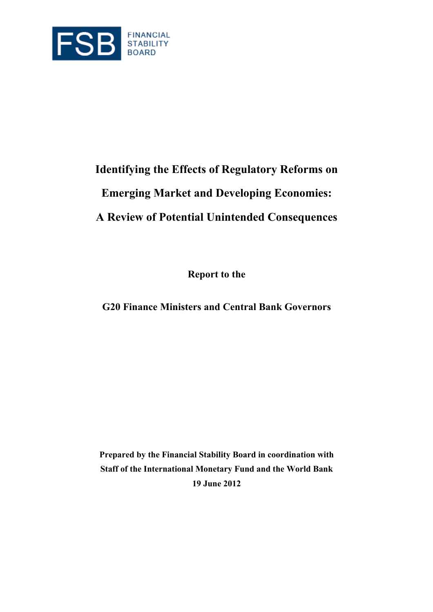

# **Identifying the Effects of Regulatory Reforms on Emerging Market and Developing Economies: A Review of Potential Unintended Consequences**

**Report to the** 

**G20 Finance Ministers and Central Bank Governors** 

**Prepared by the Financial Stability Board in coordination with Staff of the International Monetary Fund and the World Bank 19 June 2012**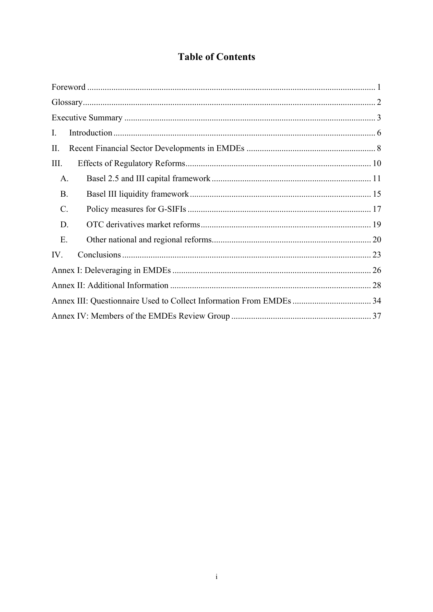# **Table of Contents**

| I.        |  |
|-----------|--|
| II.       |  |
| Ш.        |  |
| A.        |  |
| <b>B.</b> |  |
| C.        |  |
| D.        |  |
| E.        |  |
| IV.       |  |
|           |  |
|           |  |
|           |  |
|           |  |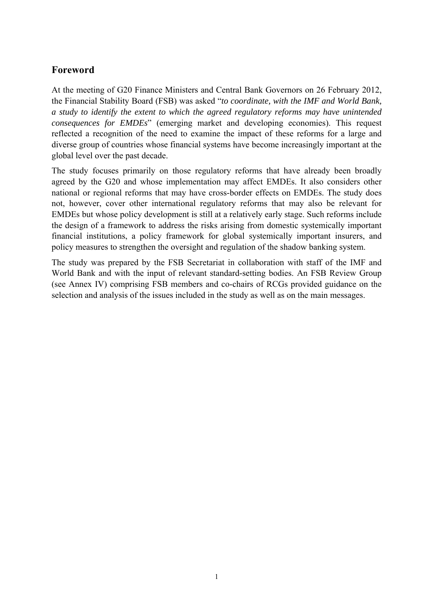# <span id="page-2-0"></span>**Foreword**

At the meeting of G20 Finance Ministers and Central Bank Governors on 26 February 2012, the Financial Stability Board (FSB) was asked "*to coordinate, with the IMF and World Bank, a study to identify the extent to which the agreed regulatory reforms may have unintended consequences for EMDEs*" (emerging market and developing economies). This request reflected a recognition of the need to examine the impact of these reforms for a large and diverse group of countries whose financial systems have become increasingly important at the global level over the past decade.

The study focuses primarily on those regulatory reforms that have already been broadly agreed by the G20 and whose implementation may affect EMDEs. It also considers other national or regional reforms that may have cross-border effects on EMDEs. The study does not, however, cover other international regulatory reforms that may also be relevant for EMDEs but whose policy development is still at a relatively early stage. Such reforms include the design of a framework to address the risks arising from domestic systemically important financial institutions, a policy framework for global systemically important insurers, and policy measures to strengthen the oversight and regulation of the shadow banking system.

The study was prepared by the FSB Secretariat in collaboration with staff of the IMF and World Bank and with the input of relevant standard-setting bodies. An FSB Review Group (see Annex IV) comprising FSB members and co-chairs of RCGs provided guidance on the selection and analysis of the issues included in the study as well as on the main messages.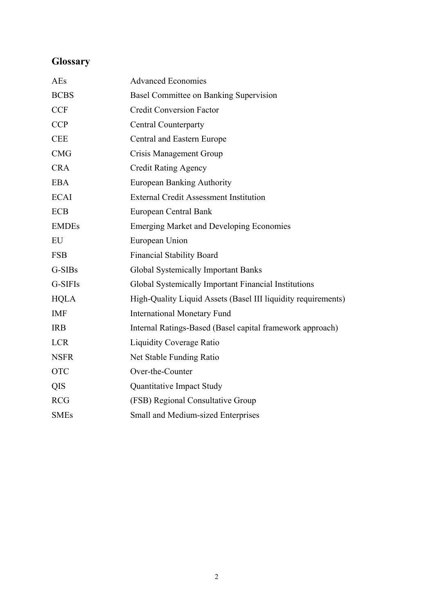# <span id="page-3-0"></span>**Glossary**

| AEs          | <b>Advanced Economies</b>                                     |
|--------------|---------------------------------------------------------------|
| <b>BCBS</b>  | Basel Committee on Banking Supervision                        |
| <b>CCF</b>   | <b>Credit Conversion Factor</b>                               |
| <b>CCP</b>   | <b>Central Counterparty</b>                                   |
| <b>CEE</b>   | Central and Eastern Europe                                    |
| <b>CMG</b>   | Crisis Management Group                                       |
| <b>CRA</b>   | <b>Credit Rating Agency</b>                                   |
| <b>EBA</b>   | <b>European Banking Authority</b>                             |
| <b>ECAI</b>  | <b>External Credit Assessment Institution</b>                 |
| <b>ECB</b>   | European Central Bank                                         |
| <b>EMDEs</b> | <b>Emerging Market and Developing Economies</b>               |
| EU           | European Union                                                |
| <b>FSB</b>   | <b>Financial Stability Board</b>                              |
| G-SIBs       | <b>Global Systemically Important Banks</b>                    |
| G-SIFIs      | Global Systemically Important Financial Institutions          |
| <b>HQLA</b>  | High-Quality Liquid Assets (Basel III liquidity requirements) |
| <b>IMF</b>   | <b>International Monetary Fund</b>                            |
| <b>IRB</b>   | Internal Ratings-Based (Basel capital framework approach)     |
| <b>LCR</b>   | <b>Liquidity Coverage Ratio</b>                               |
| <b>NSFR</b>  | Net Stable Funding Ratio                                      |
| <b>OTC</b>   | Over-the-Counter                                              |
| QIS          | Quantitative Impact Study                                     |
| <b>RCG</b>   | (FSB) Regional Consultative Group                             |
| <b>SMEs</b>  | Small and Medium-sized Enterprises                            |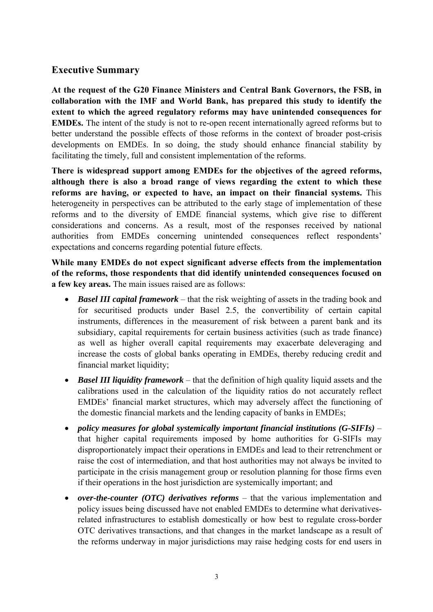# <span id="page-4-0"></span>**Executive Summary**

**At the request of the G20 Finance Ministers and Central Bank Governors, the FSB, in collaboration with the IMF and World Bank, has prepared this study to identify the extent to which the agreed regulatory reforms may have unintended consequences for EMDEs.** The intent of the study is not to re-open recent internationally agreed reforms but to better understand the possible effects of those reforms in the context of broader post-crisis developments on EMDEs. In so doing, the study should enhance financial stability by facilitating the timely, full and consistent implementation of the reforms.

**There is widespread support among EMDEs for the objectives of the agreed reforms, although there is also a broad range of views regarding the extent to which these reforms are having, or expected to have, an impact on their financial systems.** This heterogeneity in perspectives can be attributed to the early stage of implementation of these reforms and to the diversity of EMDE financial systems, which give rise to different considerations and concerns. As a result, most of the responses received by national authorities from EMDEs concerning unintended consequences reflect respondents' expectations and concerns regarding potential future effects.

**While many EMDEs do not expect significant adverse effects from the implementation of the reforms, those respondents that did identify unintended consequences focused on a few key areas.** The main issues raised are as follows:

- *Basel III capital framework* that the risk weighting of assets in the trading book and for securitised products under Basel 2.5, the convertibility of certain capital instruments, differences in the measurement of risk between a parent bank and its subsidiary, capital requirements for certain business activities (such as trade finance) as well as higher overall capital requirements may exacerbate deleveraging and increase the costs of global banks operating in EMDEs, thereby reducing credit and financial market liquidity;
- *Basel III liquidity framework* that the definition of high quality liquid assets and the calibrations used in the calculation of the liquidity ratios do not accurately reflect EMDEs' financial market structures, which may adversely affect the functioning of the domestic financial markets and the lending capacity of banks in EMDEs;
- *policy measures for global systemically important financial institutions (G-SIFIs)*  that higher capital requirements imposed by home authorities for G-SIFIs may disproportionately impact their operations in EMDEs and lead to their retrenchment or raise the cost of intermediation, and that host authorities may not always be invited to participate in the crisis management group or resolution planning for those firms even if their operations in the host jurisdiction are systemically important; and
- *over-the-counter (OTC) derivatives reforms* that the various implementation and policy issues being discussed have not enabled EMDEs to determine what derivativesrelated infrastructures to establish domestically or how best to regulate cross-border OTC derivatives transactions, and that changes in the market landscape as a result of the reforms underway in major jurisdictions may raise hedging costs for end users in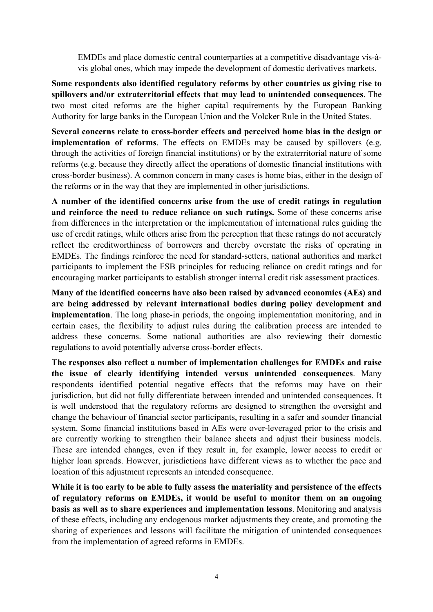EMDEs and place domestic central counterparties at a competitive disadvantage vis-àvis global ones, which may impede the development of domestic derivatives markets.

**Some respondents also identified regulatory reforms by other countries as giving rise to spillovers and/or extraterritorial effects that may lead to unintended consequences**. The two most cited reforms are the higher capital requirements by the European Banking Authority for large banks in the European Union and the Volcker Rule in the United States.

**Several concerns relate to cross-border effects and perceived home bias in the design or implementation of reforms**. The effects on EMDEs may be caused by spillovers (e.g. through the activities of foreign financial institutions) or by the extraterritorial nature of some reforms (e.g. because they directly affect the operations of domestic financial institutions with cross-border business). A common concern in many cases is home bias, either in the design of the reforms or in the way that they are implemented in other jurisdictions.

**A number of the identified concerns arise from the use of credit ratings in regulation and reinforce the need to reduce reliance on such ratings.** Some of these concerns arise from differences in the interpretation or the implementation of international rules guiding the use of credit ratings, while others arise from the perception that these ratings do not accurately reflect the creditworthiness of borrowers and thereby overstate the risks of operating in EMDEs. The findings reinforce the need for standard-setters, national authorities and market participants to implement the FSB principles for reducing reliance on credit ratings and for encouraging market participants to establish stronger internal credit risk assessment practices.

**Many of the identified concerns have also been raised by advanced economies (AEs) and are being addressed by relevant international bodies during policy development and implementation**. The long phase-in periods, the ongoing implementation monitoring, and in certain cases, the flexibility to adjust rules during the calibration process are intended to address these concerns. Some national authorities are also reviewing their domestic regulations to avoid potentially adverse cross-border effects.

**The responses also reflect a number of implementation challenges for EMDEs and raise the issue of clearly identifying intended versus unintended consequences**. Many respondents identified potential negative effects that the reforms may have on their jurisdiction, but did not fully differentiate between intended and unintended consequences. It is well understood that the regulatory reforms are designed to strengthen the oversight and change the behaviour of financial sector participants, resulting in a safer and sounder financial system. Some financial institutions based in AEs were over-leveraged prior to the crisis and are currently working to strengthen their balance sheets and adjust their business models. These are intended changes, even if they result in, for example, lower access to credit or higher loan spreads. However, jurisdictions have different views as to whether the pace and location of this adjustment represents an intended consequence.

**While it is too early to be able to fully assess the materiality and persistence of the effects of regulatory reforms on EMDEs, it would be useful to monitor them on an ongoing basis as well as to share experiences and implementation lessons**. Monitoring and analysis of these effects, including any endogenous market adjustments they create, and promoting the sharing of experiences and lessons will facilitate the mitigation of unintended consequences from the implementation of agreed reforms in EMDEs.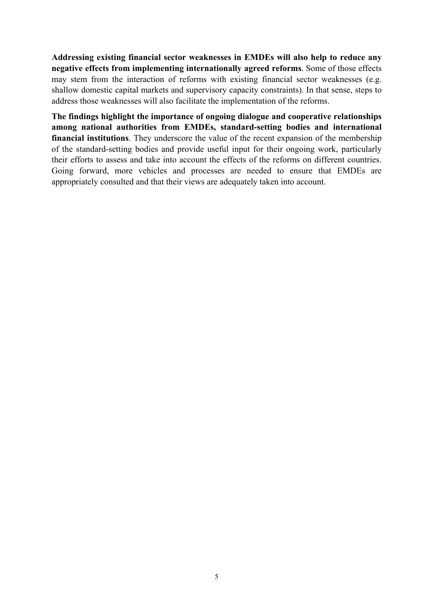**Addressing existing financial sector weaknesses in EMDEs will also help to reduce any negative effects from implementing internationally agreed reforms**. Some of those effects may stem from the interaction of reforms with existing financial sector weaknesses (e.g. shallow domestic capital markets and supervisory capacity constraints). In that sense, steps to address those weaknesses will also facilitate the implementation of the reforms.

**The findings highlight the importance of ongoing dialogue and cooperative relationships among national authorities from EMDEs, standard-setting bodies and international financial institutions**. They underscore the value of the recent expansion of the membership of the standard-setting bodies and provide useful input for their ongoing work, particularly their efforts to assess and take into account the effects of the reforms on different countries. Going forward, more vehicles and processes are needed to ensure that EMDEs are appropriately consulted and that their views are adequately taken into account.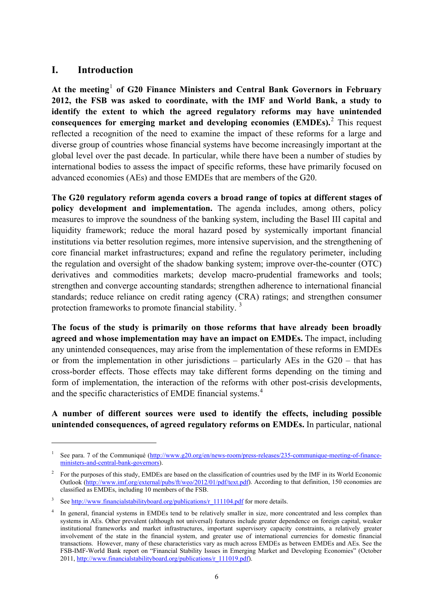# <span id="page-7-0"></span>**I. Introduction**

 $\overline{a}$ 

**At the meeting**[1](#page-7-1)  **of G20 Finance Ministers and Central Bank Governors in February 2012, the FSB was asked to coordinate, with the IMF and World Bank, a study to identify the extent to which the agreed regulatory reforms may have unintended consequences for emerging market and developing economies (EMDEs).** This request reflected a recognition of the need to examine the impact of these reforms for a large and diverse group of countries whose financial systems have become increasingly important at the global level over the past decade. In particular, while there have been a number of studies by international bodies to assess the impact of specific reforms, these have primarily focused on advanced economies (AEs) and those EMDEs that are members of the G20.

**The G20 regulatory reform agenda covers a broad range of topics at different stages of policy development and implementation.** The agenda includes, among others, policy measures to improve the soundness of the banking system, including the Basel III capital and liquidity framework; reduce the moral hazard posed by systemically important financial institutions via better resolution regimes, more intensive supervision, and the strengthening of core financial market infrastructures; expand and refine the regulatory perimeter, including the regulation and oversight of the shadow banking system; improve over-the-counter (OTC) derivatives and commodities markets; develop macro-prudential frameworks and tools; strengthen and converge accounting standards; strengthen adherence to international financial standards; reduce reliance on credit rating agency (CRA) ratings; and strengthen consumer protection frameworks to promote financial stability.<sup>[3](#page-7-3)</sup>

**The focus of the study is primarily on those reforms that have already been broadly agreed and whose implementation may have an impact on EMDEs.** The impact, including any unintended consequences, may arise from the implementation of these reforms in EMDEs or from the implementation in other jurisdictions – particularly AEs in the G20 – that has cross-border effects. Those effects may take different forms depending on the timing and form of implementation, the interaction of the reforms with other post-crisis developments, and the specific characteristics of EMDE financial systems.<sup>[4](#page-7-4)</sup>

### **A number of different sources were used to identify the effects, including possible unintended consequences, of agreed regulatory reforms on EMDEs.** In particular, national

<span id="page-7-1"></span><sup>1</sup> See para. 7 of the Communiqué [\(http://www.g20.org/en/news-room/press-releases/235-communique-meeting-of-finance](http://www.g20.org/en/news-room/press-releases/235-communique-meeting-of-finance-ministers-and-central-bank-governors)[ministers-and-central-bank-governors\)](http://www.g20.org/en/news-room/press-releases/235-communique-meeting-of-finance-ministers-and-central-bank-governors).

<span id="page-7-2"></span> $2^2$  For the purposes of this study, EMDEs are based on the classification of countries used by the IMF in its World Economic Outlook [\(http://www.imf.org/external/pubs/ft/weo/2012/01/pdf/text.pdf](http://www.imf.org/external/pubs/ft/weo/2012/01/pdf/text.pdf)). According to that definition, 150 economies are classified as EMDEs, including 10 members of the FSB.

<span id="page-7-3"></span><sup>3</sup> See http://www.financialstabilityboard.org/publications/r 111104.pdf for more details.

<span id="page-7-4"></span><sup>4</sup> In general, financial systems in EMDEs tend to be relatively smaller in size, more concentrated and less complex than systems in AEs. Other prevalent (although not universal) features include greater dependence on foreign capital, weaker institutional frameworks and market infrastructures, important supervisory capacity constraints, a relatively greater involvement of the state in the financial system, and greater use of international currencies for domestic financial transactions. However, many of these characteristics vary as much across EMDEs as between EMDEs and AEs. See the FSB-IMF-World Bank report on "Financial Stability Issues in Emerging Market and Developing Economies" (October 2011, [http://www.financialstabilityboard.org/publications/r\\_111019.pdf\)](http://www.financialstabilityboard.org/publications/r_111019.pdf).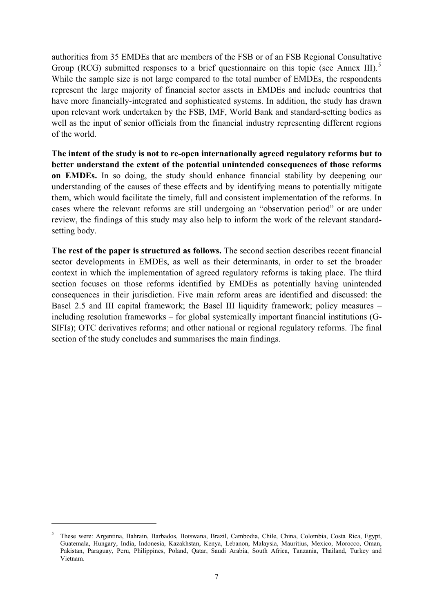authorities from 35 EMDEs that are members of the FSB or of an FSB Regional Consultative Group (RCG) submitted responses to a brief questionnaire on this topic (see Annex III).<sup>[5](#page-8-0)</sup> While the sample size is not large compared to the total number of EMDEs, the respondents represent the large majority of financial sector assets in EMDEs and include countries that have more financially-integrated and sophisticated systems. In addition, the study has drawn upon relevant work undertaken by the FSB, IMF, World Bank and standard-setting bodies as well as the input of senior officials from the financial industry representing different regions of the world.

**The intent of the study is not to re-open internationally agreed regulatory reforms but to better understand the extent of the potential unintended consequences of those reforms on EMDEs.** In so doing, the study should enhance financial stability by deepening our understanding of the causes of these effects and by identifying means to potentially mitigate them, which would facilitate the timely, full and consistent implementation of the reforms. In cases where the relevant reforms are still undergoing an "observation period" or are under review, the findings of this study may also help to inform the work of the relevant standardsetting body.

**The rest of the paper is structured as follows.** The second section describes recent financial sector developments in EMDEs, as well as their determinants, in order to set the broader context in which the implementation of agreed regulatory reforms is taking place. The third section focuses on those reforms identified by EMDEs as potentially having unintended consequences in their jurisdiction. Five main reform areas are identified and discussed: the Basel 2.5 and III capital framework; the Basel III liquidity framework; policy measures – including resolution frameworks – for global systemically important financial institutions (G-SIFIs); OTC derivatives reforms; and other national or regional regulatory reforms. The final section of the study concludes and summarises the main findings.

<span id="page-8-0"></span><sup>5</sup> These were: Argentina, Bahrain, Barbados, Botswana, Brazil, Cambodia, Chile, China, Colombia, Costa Rica, Egypt, Guatemala, Hungary, India, Indonesia, Kazakhstan, Kenya, Lebanon, Malaysia, Mauritius, Mexico, Morocco, Oman, Pakistan, Paraguay, Peru, Philippines, Poland, Qatar, Saudi Arabia, South Africa, Tanzania, Thailand, Turkey and Vietnam.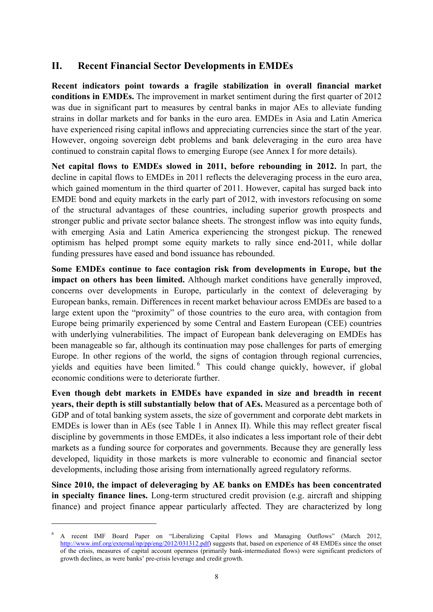# <span id="page-9-0"></span>**II. Recent Financial Sector Developments in EMDEs**

**Recent indicators point towards a fragile stabilization in overall financial market conditions in EMDEs.** The improvement in market sentiment during the first quarter of 2012 was due in significant part to measures by central banks in major AEs to alleviate funding strains in dollar markets and for banks in the euro area. EMDEs in Asia and Latin America have experienced rising capital inflows and appreciating currencies since the start of the year. However, ongoing sovereign debt problems and bank deleveraging in the euro area have continued to constrain capital flows to emerging Europe (see Annex I for more details).

**Net capital flows to EMDEs slowed in 2011, before rebounding in 2012.** In part, the decline in capital flows to EMDEs in 2011 reflects the deleveraging process in the euro area, which gained momentum in the third quarter of 2011. However, capital has surged back into EMDE bond and equity markets in the early part of 2012, with investors refocusing on some of the structural advantages of these countries, including superior growth prospects and stronger public and private sector balance sheets. The strongest inflow was into equity funds, with emerging Asia and Latin America experiencing the strongest pickup. The renewed optimism has helped prompt some equity markets to rally since end-2011, while dollar funding pressures have eased and bond issuance has rebounded.

**Some EMDEs continue to face contagion risk from developments in Europe, but the impact on others has been limited.** Although market conditions have generally improved, concerns over developments in Europe, particularly in the context of deleveraging by European banks, remain. Differences in recent market behaviour across EMDEs are based to a large extent upon the "proximity" of those countries to the euro area, with contagion from Europe being primarily experienced by some Central and Eastern European (CEE) countries with underlying vulnerabilities. The impact of European bank deleveraging on EMDEs has been manageable so far, although its continuation may pose challenges for parts of emerging Europe. In other regions of the world, the signs of contagion through regional currencies, yields and equities have been limited.<sup>[6](#page-9-1)</sup> This could change quickly, however, if global economic conditions were to deteriorate further.

**Even though debt markets in EMDEs have expanded in size and breadth in recent years, their depth is still substantially below that of AEs.** Measured as a percentage both of GDP and of total banking system assets, the size of government and corporate debt markets in EMDEs is lower than in AEs (see Table 1 in Annex II). While this may reflect greater fiscal discipline by governments in those EMDEs, it also indicates a less important role of their debt markets as a funding source for corporates and governments. Because they are generally less developed, liquidity in those markets is more vulnerable to economic and financial sector developments, including those arising from internationally agreed regulatory reforms.

**Since 2010, the impact of deleveraging by AE banks on EMDEs has been concentrated in specialty finance lines.** Long-term structured credit provision (e.g. aircraft and shipping finance) and project finance appear particularly affected. They are characterized by long

<span id="page-9-1"></span><sup>6</sup> A recent IMF Board Paper on "Liberalizing Capital Flows and Managing Outflows" (March 2012, <http://www.imf.org/external/np/pp/eng/2012/031312.pdf>) suggests that, based on experience of 48 EMDEs since the onset of the crisis, measures of capital account openness (primarily bank-intermediated flows) were significant predictors of growth declines, as were banks' pre-crisis leverage and credit growth.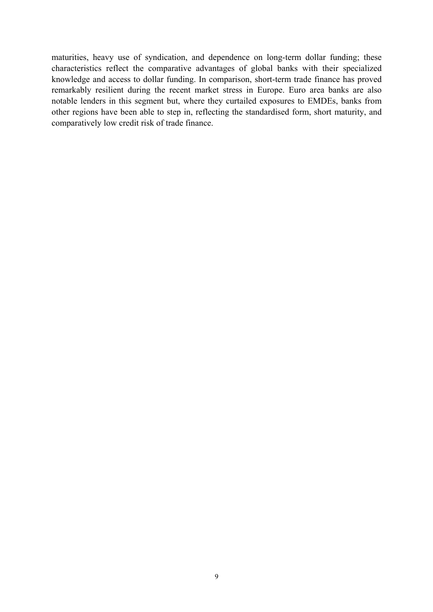maturities, heavy use of syndication, and dependence on long-term dollar funding; these characteristics reflect the comparative advantages of global banks with their specialized knowledge and access to dollar funding. In comparison, short-term trade finance has proved remarkably resilient during the recent market stress in Europe. Euro area banks are also notable lenders in this segment but, where they curtailed exposures to EMDEs, banks from other regions have been able to step in, reflecting the standardised form, short maturity, and comparatively low credit risk of trade finance.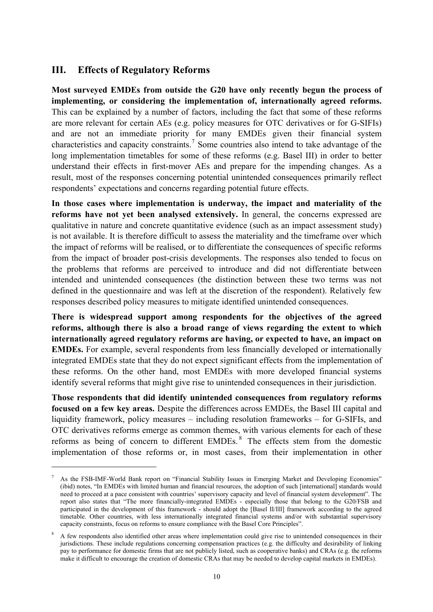### <span id="page-11-0"></span>**III. Effects of Regulatory Reforms**

 $\overline{a}$ 

**Most surveyed EMDEs from outside the G20 have only recently begun the process of implementing, or considering the implementation of, internationally agreed reforms.** This can be explained by a number of factors, including the fact that some of these reforms are more relevant for certain AEs (e.g. policy measures for OTC derivatives or for G-SIFIs) and are not an immediate priority for many EMDEs given their financial system characteristics and capacity constraints.<sup>[7](#page-11-1)</sup> Some countries also intend to take advantage of the long implementation timetables for some of these reforms (e.g. Basel III) in order to better understand their effects in first-mover AEs and prepare for the impending changes. As a result, most of the responses concerning potential unintended consequences primarily reflect respondents' expectations and concerns regarding potential future effects.

**In those cases where implementation is underway, the impact and materiality of the reforms have not yet been analysed extensively.** In general, the concerns expressed are qualitative in nature and concrete quantitative evidence (such as an impact assessment study) is not available. It is therefore difficult to assess the materiality and the timeframe over which the impact of reforms will be realised, or to differentiate the consequences of specific reforms from the impact of broader post-crisis developments. The responses also tended to focus on the problems that reforms are perceived to introduce and did not differentiate between intended and unintended consequences (the distinction between these two terms was not defined in the questionnaire and was left at the discretion of the respondent). Relatively few responses described policy measures to mitigate identified unintended consequences.

**There is widespread support among respondents for the objectives of the agreed reforms, although there is also a broad range of views regarding the extent to which internationally agreed regulatory reforms are having, or expected to have, an impact on EMDEs.** For example, several respondents from less financially developed or internationally integrated EMDEs state that they do not expect significant effects from the implementation of these reforms. On the other hand, most EMDEs with more developed financial systems identify several reforms that might give rise to unintended consequences in their jurisdiction.

**Those respondents that did identify unintended consequences from regulatory reforms focused on a few key areas.** Despite the differences across EMDEs, the Basel III capital and liquidity framework, policy measures – including resolution frameworks – for G-SIFIs, and OTC derivatives reforms emerge as common themes, with various elements for each of these reforms as being of concern to different EMDEs. [8](#page-11-2) The effects stem from the domestic implementation of those reforms or, in most cases, from their implementation in other

<span id="page-11-1"></span><sup>7</sup> As the FSB-IMF-World Bank report on "Financial Stability Issues in Emerging Market and Developing Economies" (ibid) notes, "In EMDEs with limited human and financial resources, the adoption of such [international] standards would need to proceed at a pace consistent with countries' supervisory capacity and level of financial system development". The report also states that "The more financially-integrated EMDEs - especially those that belong to the G20/FSB and participated in the development of this framework - should adopt the [Basel II/III] framework according to the agreed timetable. Other countries, with less internationally integrated financial systems and/or with substantial supervisory capacity constraints, focus on reforms to ensure compliance with the Basel Core Principles".

<span id="page-11-2"></span><sup>8</sup> A few respondents also identified other areas where implementation could give rise to unintended consequences in their jurisdictions. These include regulations concerning compensation practices (e.g. the difficulty and desirability of linking pay to performance for domestic firms that are not publicly listed, such as cooperative banks) and CRAs (e.g. the reforms make it difficult to encourage the creation of domestic CRAs that may be needed to develop capital markets in EMDEs).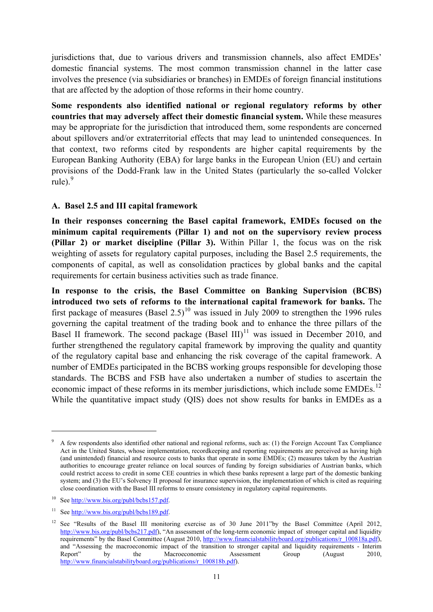jurisdictions that, due to various drivers and transmission channels, also affect EMDEs' domestic financial systems. The most common transmission channel in the latter case involves the presence (via subsidiaries or branches) in EMDEs of foreign financial institutions that are affected by the adoption of those reforms in their home country.

**Some respondents also identified national or regional regulatory reforms by other countries that may adversely affect their domestic financial system.** While these measures may be appropriate for the jurisdiction that introduced them, some respondents are concerned about spillovers and/or extraterritorial effects that may lead to unintended consequences. In that context, two reforms cited by respondents are higher capital requirements by the European Banking Authority (EBA) for large banks in the European Union (EU) and certain provisions of the Dodd-Frank law in the United States (particularly the so-called Volcker rule). $9$ 

#### <span id="page-12-0"></span>**A. Basel 2.5 and III capital framework**

**In their responses concerning the Basel capital framework, EMDEs focused on the minimum capital requirements (Pillar 1) and not on the supervisory review process (Pillar 2) or market discipline (Pillar 3).** Within Pillar 1, the focus was on the risk weighting of assets for regulatory capital purposes, including the Basel 2.5 requirements, the components of capital, as well as consolidation practices by global banks and the capital requirements for certain business activities such as trade finance.

**In response to the crisis, the Basel Committee on Banking Supervision (BCBS) introduced two sets of reforms to the international capital framework for banks.** The first package of measures (Basel  $2.5$ )<sup>[10](#page-12-2)</sup> was issued in July 2009 to strengthen the 1996 rules governing the capital treatment of the trading book and to enhance the three pillars of the Basel II framework. The second package  $(BaseI III)^{11}$  $(BaseI III)^{11}$  $(BaseI III)^{11}$  was issued in December 2010, and further strengthened the regulatory capital framework by improving the quality and quantity of the regulatory capital base and enhancing the risk coverage of the capital framework. A number of EMDEs participated in the BCBS working groups responsible for developing those standards. The BCBS and FSB have also undertaken a number of studies to ascertain the economic impact of these reforms in its member jurisdictions, which include some EMDEs.<sup>[12](#page-12-4)</sup> While the quantitative impact study (QIS) does not show results for banks in EMDEs as a

<span id="page-12-1"></span><sup>9</sup> A few respondents also identified other national and regional reforms, such as: (1) the Foreign Account Tax Compliance Act in the United States, whose implementation, recordkeeping and reporting requirements are perceived as having high (and unintended) financial and resource costs to banks that operate in some EMDEs; (2) measures taken by the Austrian authorities to encourage greater reliance on local sources of funding by foreign subsidiaries of Austrian banks, which could restrict access to credit in some CEE countries in which these banks represent a large part of the domestic banking system; and (3) the EU's Solvency II proposal for insurance supervision, the implementation of which is cited as requiring close coordination with the Basel III reforms to ensure consistency in regulatory capital requirements.

<span id="page-12-2"></span><sup>&</sup>lt;sup>10</sup> See<http://www.bis.org/publ/bcbs157.pdf>.

<span id="page-12-3"></span><sup>&</sup>lt;sup>11</sup> See<http://www.bis.org/publ/bcbs189.pdf>.

<span id="page-12-4"></span><sup>&</sup>lt;sup>12</sup> See "Results of the Basel III monitoring exercise as of 30 June 2011"by the Basel Committee (April 2012, <http://www.bis.org/publ/bcbs217.pdf>), "An assessment of the long-term economic impact of stronger capital and liquidity requirements" by the Basel Committee (August 2010, [http://www.financialstabilityboard.org/publications/r\\_100818a.pdf](http://www.financialstabilityboard.org/publications/r_100818a.pdf)), and "Assessing the macroeconomic impact of the transition to stronger capital and liquidity requirements - Interim Report" by the Macroeconomic Assessment Group (August 2010, [http://www.financialstabilityboard.org/publications/r\\_100818b.pdf](http://www.financialstabilityboard.org/publications/r_100818b.pdf)).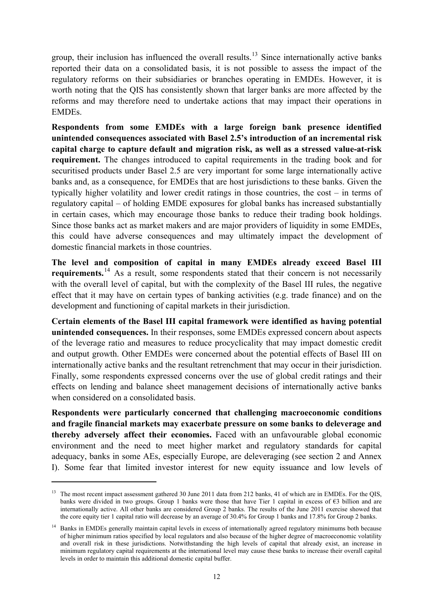group, their inclusion has influenced the overall results.<sup>[13](#page-13-0)</sup> Since internationally active banks reported their data on a consolidated basis, it is not possible to assess the impact of the regulatory reforms on their subsidiaries or branches operating in EMDEs. However, it is worth noting that the QIS has consistently shown that larger banks are more affected by the reforms and may therefore need to undertake actions that may impact their operations in EMDEs.

**Respondents from some EMDEs with a large foreign bank presence identified unintended consequences associated with Basel 2.5's introduction of an incremental risk capital charge to capture default and migration risk, as well as a stressed value-at-risk requirement.** The changes introduced to capital requirements in the trading book and for securitised products under Basel 2.5 are very important for some large internationally active banks and, as a consequence, for EMDEs that are host jurisdictions to these banks. Given the typically higher volatility and lower credit ratings in those countries, the cost – in terms of regulatory capital – of holding EMDE exposures for global banks has increased substantially in certain cases, which may encourage those banks to reduce their trading book holdings. Since those banks act as market makers and are major providers of liquidity in some EMDEs, this could have adverse consequences and may ultimately impact the development of domestic financial markets in those countries.

**The level and composition of capital in many EMDEs already exceed Basel III requirements.**<sup>[14](#page-13-1)</sup> As a result, some respondents stated that their concern is not necessarily with the overall level of capital, but with the complexity of the Basel III rules, the negative effect that it may have on certain types of banking activities (e.g. trade finance) and on the development and functioning of capital markets in their jurisdiction.

**Certain elements of the Basel III capital framework were identified as having potential unintended consequences.** In their responses, some EMDEs expressed concern about aspects of the leverage ratio and measures to reduce procyclicality that may impact domestic credit and output growth. Other EMDEs were concerned about the potential effects of Basel III on internationally active banks and the resultant retrenchment that may occur in their jurisdiction. Finally, some respondents expressed concerns over the use of global credit ratings and their effects on lending and balance sheet management decisions of internationally active banks when considered on a consolidated basis.

**Respondents were particularly concerned that challenging macroeconomic conditions and fragile financial markets may exacerbate pressure on some banks to deleverage and thereby adversely affect their economies.** Faced with an unfavourable global economic environment and the need to meet higher market and regulatory standards for capital adequacy, banks in some AEs, especially Europe, are deleveraging (see section 2 and Annex I). Some fear that limited investor interest for new equity issuance and low levels of

<span id="page-13-0"></span><sup>&</sup>lt;sup>13</sup> The most recent impact assessment gathered 30 June 2011 data from 212 banks, 41 of which are in EMDEs. For the QIS, banks were divided in two groups. Group 1 banks were those that have Tier 1 capital in excess of  $\epsilon$ 3 billion and are internationally active. All other banks are considered Group 2 banks. The results of the June 2011 exercise showed that the core equity tier 1 capital ratio will decrease by an average of 30.4% for Group 1 banks and 17.8% for Group 2 banks.

<span id="page-13-1"></span><sup>&</sup>lt;sup>14</sup> Banks in EMDEs generally maintain capital levels in excess of internationally agreed regulatory minimums both because of higher minimum ratios specified by local regulators and also because of the higher degree of macroeconomic volatility and overall risk in these jurisdictions. Notwithstanding the high levels of capital that already exist, an increase in minimum regulatory capital requirements at the international level may cause these banks to increase their overall capital levels in order to maintain this additional domestic capital buffer.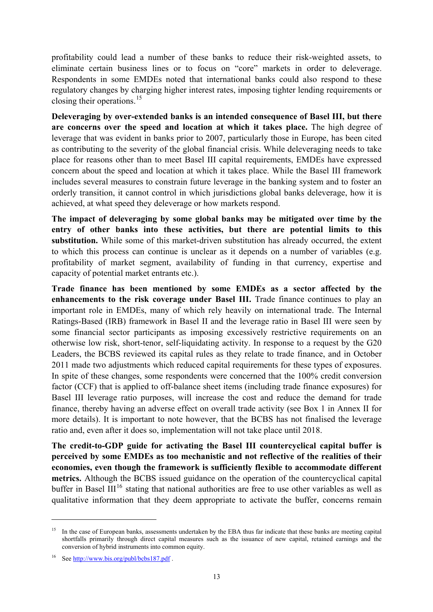profitability could lead a number of these banks to reduce their risk-weighted assets, to eliminate certain business lines or to focus on "core" markets in order to deleverage. Respondents in some EMDEs noted that international banks could also respond to these regulatory changes by charging higher interest rates, imposing tighter lending requirements or closing their operations.<sup>[15](#page-14-0)</sup>

**Deleveraging by over-extended banks is an intended consequence of Basel III, but there are concerns over the speed and location at which it takes place.** The high degree of leverage that was evident in banks prior to 2007, particularly those in Europe, has been cited as contributing to the severity of the global financial crisis. While deleveraging needs to take place for reasons other than to meet Basel III capital requirements, EMDEs have expressed concern about the speed and location at which it takes place. While the Basel III framework includes several measures to constrain future leverage in the banking system and to foster an orderly transition, it cannot control in which jurisdictions global banks deleverage, how it is achieved, at what speed they deleverage or how markets respond.

**The impact of deleveraging by some global banks may be mitigated over time by the entry of other banks into these activities, but there are potential limits to this substitution.** While some of this market-driven substitution has already occurred, the extent to which this process can continue is unclear as it depends on a number of variables (e.g. profitability of market segment, availability of funding in that currency, expertise and capacity of potential market entrants etc.).

**Trade finance has been mentioned by some EMDEs as a sector affected by the enhancements to the risk coverage under Basel III.** Trade finance continues to play an important role in EMDEs, many of which rely heavily on international trade. The Internal Ratings-Based (IRB) framework in Basel II and the leverage ratio in Basel III were seen by some financial sector participants as imposing excessively restrictive requirements on an otherwise low risk, short-tenor, self-liquidating activity. In response to a request by the G20 Leaders, the BCBS reviewed its capital rules as they relate to trade finance, and in October 2011 made two adjustments which reduced capital requirements for these types of exposures. In spite of these changes, some respondents were concerned that the 100% credit conversion factor (CCF) that is applied to off-balance sheet items (including trade finance exposures) for Basel III leverage ratio purposes, will increase the cost and reduce the demand for trade finance, thereby having an adverse effect on overall trade activity (see Box 1 in Annex II for more details). It is important to note however, that the BCBS has not finalised the leverage ratio and, even after it does so, implementation will not take place until 2018.

**The credit-to-GDP guide for activating the Basel III countercyclical capital buffer is perceived by some EMDEs as too mechanistic and not reflective of the realities of their economies, even though the framework is sufficiently flexible to accommodate different metrics.** Although the BCBS issued guidance on the operation of the countercyclical capital buffer in Basel III<sup>[16](#page-14-1)</sup> stating that national authorities are free to use other variables as well as qualitative information that they deem appropriate to activate the buffer, concerns remain

<span id="page-14-0"></span><sup>&</sup>lt;sup>15</sup> In the case of European banks, assessments undertaken by the EBA thus far indicate that these banks are meeting capital shortfalls primarily through direct capital measures such as the issuance of new capital, retained earnings and the conversion of hybrid instruments into common equity.

<span id="page-14-1"></span><sup>16</sup> See<http://www.bis.org/publ/bcbs187.pdf>.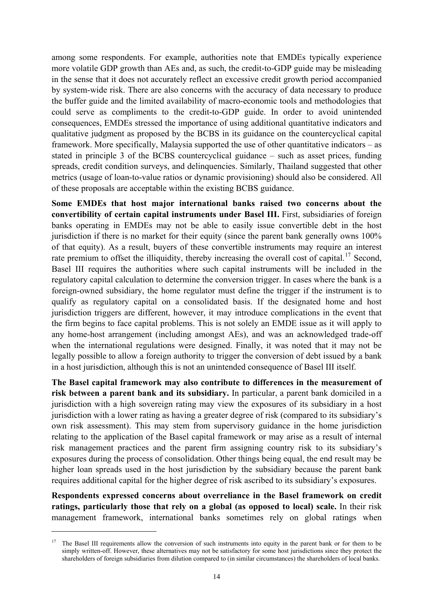among some respondents. For example, authorities note that EMDEs typically experience more volatile GDP growth than AEs and, as such, the credit-to-GDP guide may be misleading in the sense that it does not accurately reflect an excessive credit growth period accompanied by system-wide risk. There are also concerns with the accuracy of data necessary to produce the buffer guide and the limited availability of macro-economic tools and methodologies that could serve as compliments to the credit-to-GDP guide. In order to avoid unintended consequences, EMDEs stressed the importance of using additional quantitative indicators and qualitative judgment as proposed by the BCBS in its guidance on the countercyclical capital framework. More specifically, Malaysia supported the use of other quantitative indicators – as stated in principle 3 of the BCBS countercyclical guidance – such as asset prices, funding spreads, credit condition surveys, and delinquencies. Similarly, Thailand suggested that other metrics (usage of loan-to-value ratios or dynamic provisioning) should also be considered. All of these proposals are acceptable within the existing BCBS guidance.

**Some EMDEs that host major international banks raised two concerns about the convertibility of certain capital instruments under Basel III.** First, subsidiaries of foreign banks operating in EMDEs may not be able to easily issue convertible debt in the host jurisdiction if there is no market for their equity (since the parent bank generally owns 100% of that equity). As a result, buyers of these convertible instruments may require an interest rate premium to offset the illiquidity, thereby increasing the overall cost of capital.<sup>[17](#page-15-0)</sup> Second, Basel III requires the authorities where such capital instruments will be included in the regulatory capital calculation to determine the conversion trigger. In cases where the bank is a foreign-owned subsidiary, the home regulator must define the trigger if the instrument is to qualify as regulatory capital on a consolidated basis. If the designated home and host jurisdiction triggers are different, however, it may introduce complications in the event that the firm begins to face capital problems. This is not solely an EMDE issue as it will apply to any home-host arrangement (including amongst AEs), and was an acknowledged trade-off when the international regulations were designed. Finally, it was noted that it may not be legally possible to allow a foreign authority to trigger the conversion of debt issued by a bank in a host jurisdiction, although this is not an unintended consequence of Basel III itself.

**The Basel capital framework may also contribute to differences in the measurement of risk between a parent bank and its subsidiary.** In particular, a parent bank domiciled in a jurisdiction with a high sovereign rating may view the exposures of its subsidiary in a host jurisdiction with a lower rating as having a greater degree of risk (compared to its subsidiary's own risk assessment). This may stem from supervisory guidance in the home jurisdiction relating to the application of the Basel capital framework or may arise as a result of internal risk management practices and the parent firm assigning country risk to its subsidiary's exposures during the process of consolidation. Other things being equal, the end result may be higher loan spreads used in the host jurisdiction by the subsidiary because the parent bank requires additional capital for the higher degree of risk ascribed to its subsidiary's exposures.

**Respondents expressed concerns about overreliance in the Basel framework on credit ratings, particularly those that rely on a global (as opposed to local) scale.** In their risk management framework, international banks sometimes rely on global ratings when

<span id="page-15-0"></span><sup>&</sup>lt;sup>17</sup> The Basel III requirements allow the conversion of such instruments into equity in the parent bank or for them to be simply written-off. However, these alternatives may not be satisfactory for some host jurisdictions since they protect the shareholders of foreign subsidiaries from dilution compared to (in similar circumstances) the shareholders of local banks.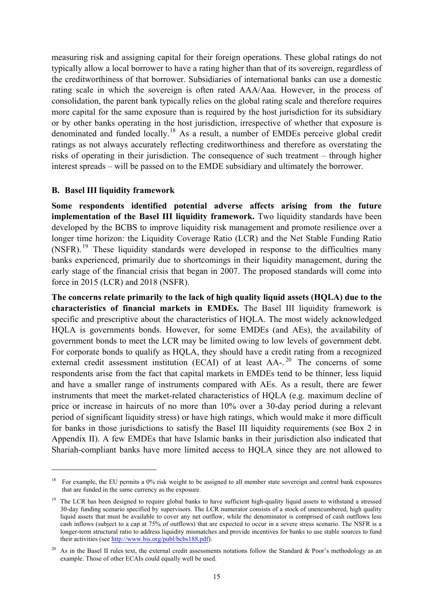measuring risk and assigning capital for their foreign operations. These global ratings do not typically allow a local borrower to have a rating higher than that of its sovereign, regardless of the creditworthiness of that borrower. Subsidiaries of international banks can use a domestic rating scale in which the sovereign is often rated AAA/Aaa. However, in the process of consolidation, the parent bank typically relies on the global rating scale and therefore requires more capital for the same exposure than is required by the host jurisdiction for its subsidiary or by other banks operating in the host jurisdiction, irrespective of whether that exposure is denominated and funded locally.[18](#page-16-1) As a result, a number of EMDEs perceive global credit ratings as not always accurately reflecting creditworthiness and therefore as overstating the risks of operating in their jurisdiction. The consequence of such treatment – through higher interest spreads – will be passed on to the EMDE subsidiary and ultimately the borrower.

#### <span id="page-16-0"></span>**B. Basel III liquidity framework**

 $\overline{a}$ 

**Some respondents identified potential adverse affects arising from the future implementation of the Basel III liquidity framework.** Two liquidity standards have been developed by the BCBS to improve liquidity risk management and promote resilience over a longer time horizon: the Liquidity Coverage Ratio (LCR) and the Net Stable Funding Ratio (NSFR).<sup>[19](#page-16-2)</sup> These liquidity standards were developed in response to the difficulties many banks experienced, primarily due to shortcomings in their liquidity management, during the early stage of the financial crisis that began in 2007. The proposed standards will come into force in 2015 (LCR) and 2018 (NSFR).

**The concerns relate primarily to the lack of high quality liquid assets (HQLA) due to the characteristics of financial markets in EMDEs.** The Basel III liquidity framework is specific and prescriptive about the characteristics of HQLA. The most widely acknowledged HQLA is governments bonds. However, for some EMDEs (and AEs), the availability of government bonds to meet the LCR may be limited owing to low levels of government debt. For corporate bonds to qualify as HQLA, they should have a credit rating from a recognized external credit assessment institution (ECAI) of at least  $AA$ - $^{20}$  $^{20}$  $^{20}$  The concerns of some respondents arise from the fact that capital markets in EMDEs tend to be thinner, less liquid and have a smaller range of instruments compared with AEs. As a result, there are fewer instruments that meet the market-related characteristics of HQLA (e.g. maximum decline of price or increase in haircuts of no more than 10% over a 30-day period during a relevant period of significant liquidity stress) or have high ratings, which would make it more difficult for banks in those jurisdictions to satisfy the Basel III liquidity requirements (see Box 2 in Appendix II). A few EMDEs that have Islamic banks in their jurisdiction also indicated that Shariah-compliant banks have more limited access to HQLA since they are not allowed to

<span id="page-16-1"></span><sup>&</sup>lt;sup>18</sup> For example, the EU permits a 0% risk weight to be assigned to all member state sovereign and central bank exposures that are funded in the same currency as the exposure.

<span id="page-16-2"></span><sup>&</sup>lt;sup>19</sup> The LCR has been designed to require global banks to have sufficient high-quality liquid assets to withstand a stressed 30-day funding scenario specified by supervisors. The LCR numerator consists of a stock of unencumbered, high quality liquid assets that must be available to cover any net outflow, while the denominator is comprised of cash outflows less cash inflows (subject to a cap at 75% of outflows) that are expected to occur in a severe stress scenario. The NSFR is a longer-term structural ratio to address liquidity mismatches and provide incentives for banks to use stable sources to fund their activities (see<http://www.bis.org/publ/bcbs188.pdf>).

<span id="page-16-3"></span><sup>&</sup>lt;sup>20</sup> As in the Basel II rules text, the external credit assessments notations follow the Standard & Poor's methodology as an example. Those of other ECAIs could equally well be used.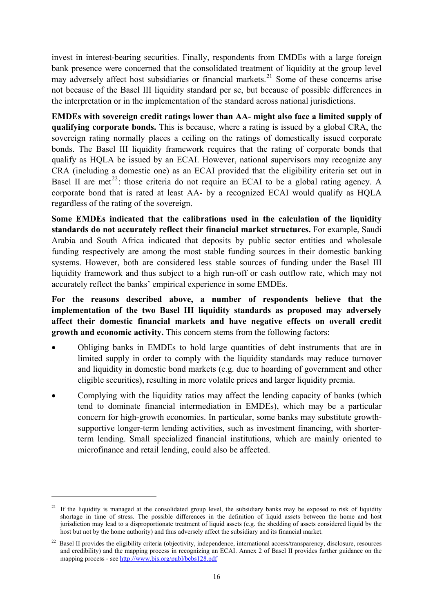invest in interest-bearing securities. Finally, respondents from EMDEs with a large foreign bank presence were concerned that the consolidated treatment of liquidity at the group level may adversely affect host subsidiaries or financial markets.<sup>[21](#page-17-0)</sup> Some of these concerns arise not because of the Basel III liquidity standard per se, but because of possible differences in the interpretation or in the implementation of the standard across national jurisdictions.

**EMDEs with sovereign credit ratings lower than AA- might also face a limited supply of qualifying corporate bonds.** This is because, where a rating is issued by a global CRA, the sovereign rating normally places a ceiling on the ratings of domestically issued corporate bonds. The Basel III liquidity framework requires that the rating of corporate bonds that qualify as HQLA be issued by an ECAI. However, national supervisors may recognize any CRA (including a domestic one) as an ECAI provided that the eligibility criteria set out in Basel II are met<sup>[22](#page-17-1)</sup>: those criteria do not require an ECAI to be a global rating agency. A corporate bond that is rated at least AA- by a recognized ECAI would qualify as HQLA regardless of the rating of the sovereign.

**Some EMDEs indicated that the calibrations used in the calculation of the liquidity standards do not accurately reflect their financial market structures.** For example, Saudi Arabia and South Africa indicated that deposits by public sector entities and wholesale funding respectively are among the most stable funding sources in their domestic banking systems. However, both are considered less stable sources of funding under the Basel III liquidity framework and thus subject to a high run-off or cash outflow rate, which may not accurately reflect the banks' empirical experience in some EMDEs.

**For the reasons described above, a number of respondents believe that the implementation of the two Basel III liquidity standards as proposed may adversely affect their domestic financial markets and have negative effects on overall credit growth and economic activity.** This concern stems from the following factors:

- Obliging banks in EMDEs to hold large quantities of debt instruments that are in limited supply in order to comply with the liquidity standards may reduce turnover and liquidity in domestic bond markets (e.g. due to hoarding of government and other eligible securities), resulting in more volatile prices and larger liquidity premia.
- Complying with the liquidity ratios may affect the lending capacity of banks (which tend to dominate financial intermediation in EMDEs), which may be a particular concern for high-growth economies. In particular, some banks may substitute growthsupportive longer-term lending activities, such as investment financing, with shorterterm lending. Small specialized financial institutions, which are mainly oriented to microfinance and retail lending, could also be affected.

<span id="page-17-0"></span><sup>&</sup>lt;sup>21</sup> If the liquidity is managed at the consolidated group level, the subsidiary banks may be exposed to risk of liquidity shortage in time of stress. The possible differences in the definition of liquid assets between the home and host jurisdiction may lead to a disproportionate treatment of liquid assets (e.g. the shedding of assets considered liquid by the host but not by the home authority) and thus adversely affect the subsidiary and its financial market.

<span id="page-17-1"></span> $^{22}$  Basel II provides the eligibility criteria (objectivity, independence, international access/transparency, disclosure, resources and credibility) and the mapping process in recognizing an ECAI. Annex 2 of Basel II provides further guidance on the mapping process - see <http://www.bis.org/publ/bcbs128.pdf>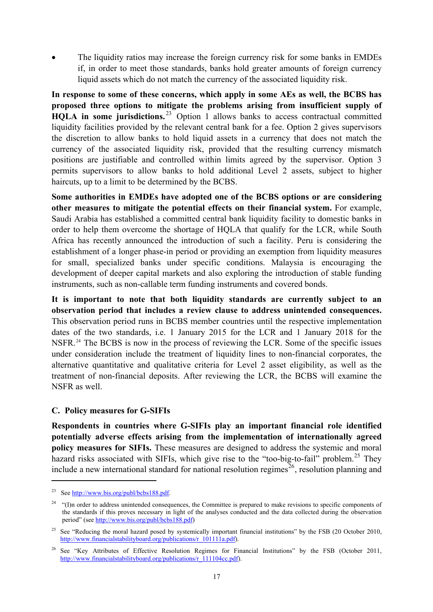The liquidity ratios may increase the foreign currency risk for some banks in EMDEs if, in order to meet those standards, banks hold greater amounts of foreign currency liquid assets which do not match the currency of the associated liquidity risk.

**In response to some of these concerns, which apply in some AEs as well, the BCBS has proposed three options to mitigate the problems arising from insufficient supply of HQLA** in some jurisdictions.<sup>[23](#page-18-1)</sup> Option 1 allows banks to access contractual committed liquidity facilities provided by the relevant central bank for a fee. Option 2 gives supervisors the discretion to allow banks to hold liquid assets in a currency that does not match the currency of the associated liquidity risk, provided that the resulting currency mismatch positions are justifiable and controlled within limits agreed by the supervisor. Option 3 permits supervisors to allow banks to hold additional Level 2 assets, subject to higher haircuts, up to a limit to be determined by the BCBS.

**Some authorities in EMDEs have adopted one of the BCBS options or are considering other measures to mitigate the potential effects on their financial system.** For example, Saudi Arabia has established a committed central bank liquidity facility to domestic banks in order to help them overcome the shortage of HQLA that qualify for the LCR, while South Africa has recently announced the introduction of such a facility. Peru is considering the establishment of a longer phase-in period or providing an exemption from liquidity measures for small, specialized banks under specific conditions. Malaysia is encouraging the development of deeper capital markets and also exploring the introduction of stable funding instruments, such as non-callable term funding instruments and covered bonds.

**It is important to note that both liquidity standards are currently subject to an observation period that includes a review clause to address unintended consequences.** This observation period runs in BCBS member countries until the respective implementation dates of the two standards, i.e. 1 January 2015 for the LCR and 1 January 2018 for the NSFR.[24](#page-18-2) The BCBS is now in the process of reviewing the LCR. Some of the specific issues under consideration include the treatment of liquidity lines to non-financial corporates, the alternative quantitative and qualitative criteria for Level 2 asset eligibility, as well as the treatment of non-financial deposits. After reviewing the LCR, the BCBS will examine the NSFR as well.

#### <span id="page-18-0"></span>**C. Policy measures for G-SIFIs**

**Respondents in countries where G-SIFIs play an important financial role identified potentially adverse effects arising from the implementation of internationally agreed policy measures for SIFIs.** These measures are designed to address the systemic and moral hazard risks associated with SIFIs, which give rise to the "too-big-to-fail" problem.<sup>[25](#page-18-3)</sup> They include a new international standard for national resolution regimes<sup>[26](#page-18-4)</sup>, resolution planning and

<span id="page-18-1"></span><sup>23</sup> See <http://www.bis.org/publ/bcbs188.pdf>.

<span id="page-18-2"></span><sup>&</sup>lt;sup>24</sup> "(I)n order to address unintended consequences, the Committee is prepared to make revisions to specific components of the standards if this proves necessary in light of the analyses conducted and the data collected during the observation period" (see [http://www.bis.org/publ/bcbs188.pdf\)](http://www.bis.org/publ/bcbs188.pdf)

<span id="page-18-3"></span><sup>&</sup>lt;sup>25</sup> See "Reducing the moral hazard posed by systemically important financial institutions" by the FSB (20 October 2010, [http://www.financialstabilityboard.org/publications/r\\_101111a.pdf](http://www.financialstabilityboard.org/publications/r_101111a.pdf)).

<span id="page-18-4"></span><sup>&</sup>lt;sup>26</sup> See "Key Attributes of Effective Resolution Regimes for Financial Institutions" by the FSB (October 2011, [http://www.financialstabilityboard.org/publications/r\\_111104cc.pdf](http://www.financialstabilityboard.org/publications/r_111104cc.pdf)).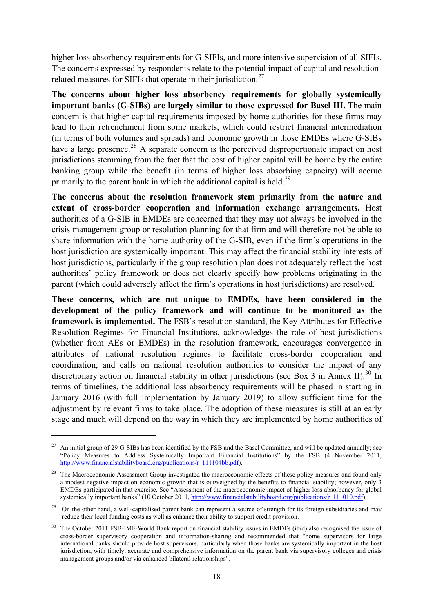higher loss absorbency requirements for G-SIFIs, and more intensive supervision of all SIFIs. The concerns expressed by respondents relate to the potential impact of capital and resolution-related measures for SIFIs that operate in their jurisdiction.<sup>[27](#page-19-0)</sup>

**The concerns about higher loss absorbency requirements for globally systemically important banks (G-SIBs) are largely similar to those expressed for Basel III.** The main concern is that higher capital requirements imposed by home authorities for these firms may lead to their retrenchment from some markets, which could restrict financial intermediation (in terms of both volumes and spreads) and economic growth in those EMDEs where G-SIBs have a large presence.<sup>[28](#page-19-1)</sup> A separate concern is the perceived disproportionate impact on host jurisdictions stemming from the fact that the cost of higher capital will be borne by the entire banking group while the benefit (in terms of higher loss absorbing capacity) will accrue primarily to the parent bank in which the additional capital is held.<sup>[29](#page-19-2)</sup>

**The concerns about the resolution framework stem primarily from the nature and extent of cross-border cooperation and information exchange arrangements.** Host authorities of a G-SIB in EMDEs are concerned that they may not always be involved in the crisis management group or resolution planning for that firm and will therefore not be able to share information with the home authority of the G-SIB, even if the firm's operations in the host jurisdiction are systemically important. This may affect the financial stability interests of host jurisdictions, particularly if the group resolution plan does not adequately reflect the host authorities' policy framework or does not clearly specify how problems originating in the parent (which could adversely affect the firm's operations in host jurisdictions) are resolved.

**These concerns, which are not unique to EMDEs, have been considered in the development of the policy framework and will continue to be monitored as the framework is implemented.** The FSB's resolution standard, the Key Attributes for Effective Resolution Regimes for Financial Institutions, acknowledges the role of host jurisdictions (whether from AEs or EMDEs) in the resolution framework, encourages convergence in attributes of national resolution regimes to facilitate cross-border cooperation and coordination, and calls on national resolution authorities to consider the impact of any discretionary action on financial stability in other jurisdictions (see Box 3 in Annex II).<sup>[30](#page-19-3)</sup> In terms of timelines, the additional loss absorbency requirements will be phased in starting in January 2016 (with full implementation by January 2019) to allow sufficient time for the adjustment by relevant firms to take place. The adoption of these measures is still at an early stage and much will depend on the way in which they are implemented by home authorities of

<span id="page-19-0"></span> $27$  An initial group of 29 G-SIBs has been identified by the FSB and the Basel Committee, and will be updated annually; see "Policy Measures to Address Systemically Important Financial Institutions" by the FSB (4 November 2011, [http://www.financialstabilityboard.org/publications/r\\_111104bb.pdf\)](http://www.financialstabilityboard.org/publications/r_111104bb.pdf).

<span id="page-19-1"></span><sup>&</sup>lt;sup>28</sup> The Macroeconomic Assessment Group investigated the macroeconomic effects of these policy measures and found only a modest negative impact on economic growth that is outweighed by the benefits to financial stability; however, only 3 EMDEs participated in that exercise. See "Assessment of the macroeconomic impact of higher loss absorbency for global systemically important banks" (10 October 2011, [http://www.financialstabilityboard.org/publications/r\\_111010.pdf\)](http://www.financialstabilityboard.org/publications/r_111010.pdf).

<span id="page-19-2"></span><sup>&</sup>lt;sup>29</sup> On the other hand, a well-capitalised parent bank can represent a source of strength for its foreign subsidiaries and may reduce their local funding costs as well as enhance their ability to support credit provision.

<span id="page-19-3"></span><sup>30</sup> The October 2011 FSB-IMF-World Bank report on financial stability issues in EMDEs (ibid) also recognised the issue of cross-border supervisory cooperation and information-sharing and recommended that "home supervisors for large international banks should provide host supervisors, particularly when those banks are systemically important in the host jurisdiction, with timely, accurate and comprehensive information on the parent bank via supervisory colleges and crisis management groups and/or via enhanced bilateral relationships".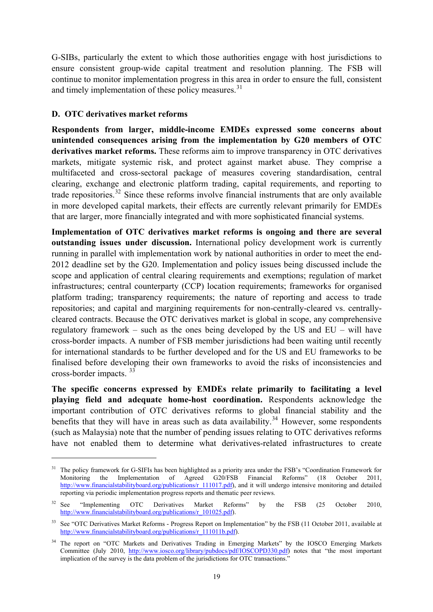G-SIBs, particularly the extent to which those authorities engage with host jurisdictions to ensure consistent group-wide capital treatment and resolution planning. The FSB will continue to monitor implementation progress in this area in order to ensure the full, consistent and timely implementation of these policy measures.<sup>[31](#page-20-1)</sup>

#### <span id="page-20-0"></span>**D. OTC derivatives market reforms**

 $\overline{a}$ 

**Respondents from larger, middle-income EMDEs expressed some concerns about unintended consequences arising from the implementation by G20 members of OTC derivatives market reforms.** These reforms aim to improve transparency in OTC derivatives markets, mitigate systemic risk, and protect against market abuse. They comprise a multifaceted and cross-sectoral package of measures covering standardisation, central clearing, exchange and electronic platform trading, capital requirements, and reporting to trade repositories.<sup>[32](#page-20-2)</sup> Since these reforms involve financial instruments that are only available in more developed capital markets, their effects are currently relevant primarily for EMDEs that are larger, more financially integrated and with more sophisticated financial systems.

**Implementation of OTC derivatives market reforms is ongoing and there are several outstanding issues under discussion.** International policy development work is currently running in parallel with implementation work by national authorities in order to meet the end-2012 deadline set by the G20. Implementation and policy issues being discussed include the scope and application of central clearing requirements and exemptions; regulation of market infrastructures; central counterparty (CCP) location requirements; frameworks for organised platform trading; transparency requirements; the nature of reporting and access to trade repositories; and capital and margining requirements for non-centrally-cleared vs. centrallycleared contracts. Because the OTC derivatives market is global in scope, any comprehensive regulatory framework – such as the ones being developed by the US and EU – will have cross-border impacts. A number of FSB member jurisdictions had been waiting until recently for international standards to be further developed and for the US and EU frameworks to be finalised before developing their own frameworks to avoid the risks of inconsistencies and cross-border impacts. [33](#page-20-3)

**The specific concerns expressed by EMDEs relate primarily to facilitating a level playing field and adequate home-host coordination.** Respondents acknowledge the important contribution of OTC derivatives reforms to global financial stability and the benefits that they will have in areas such as data availability.<sup>[34](#page-20-4)</sup> However, some respondents (such as Malaysia) note that the number of pending issues relating to OTC derivatives reforms have not enabled them to determine what derivatives-related infrastructures to create

<span id="page-20-1"></span><sup>&</sup>lt;sup>31</sup> The policy framework for G-SIFIs has been highlighted as a priority area under the FSB's "Coordination Framework for Monitoring the Implementation of Agreed G20/FSB Financial Reforms" (18 October 2011, [http://www.financialstabilityboard.org/publications/r\\_111017.pdf\)](http://www.financialstabilityboard.org/publications/r_111017.pdf), and it will undergo intensive monitoring and detailed reporting via periodic implementation progress reports and thematic peer reviews.

<span id="page-20-2"></span><sup>&</sup>lt;sup>32</sup> See "Implementing OTC Derivatives Market Reforms" by the FSB (25 October 2010, [http://www.financialstabilityboard.org/publications/r\\_101025.pdf](http://www.financialstabilityboard.org/publications/r_101025.pdf)).

<span id="page-20-3"></span>See "OTC Derivatives Market Reforms - Progress Report on Implementation" by the FSB (11 October 2011, available at [http://www.financialstabilityboard.org/publications/r\\_111011b.pdf\)](http://www.financialstabilityboard.org/publications/r_111011b.pdf).

<span id="page-20-4"></span><sup>&</sup>lt;sup>34</sup> The report on "OTC Markets and Derivatives Trading in Emerging Markets" by the IOSCO Emerging Markets Committee (July 2010, [http://www.iosco.org/library/pubdocs/pdf/IOSCOPD330.pdf\)](http://www.iosco.org/library/pubdocs/pdf/IOSCOPD330.pdf) notes that "the most important implication of the survey is the data problem of the jurisdictions for OTC transactions."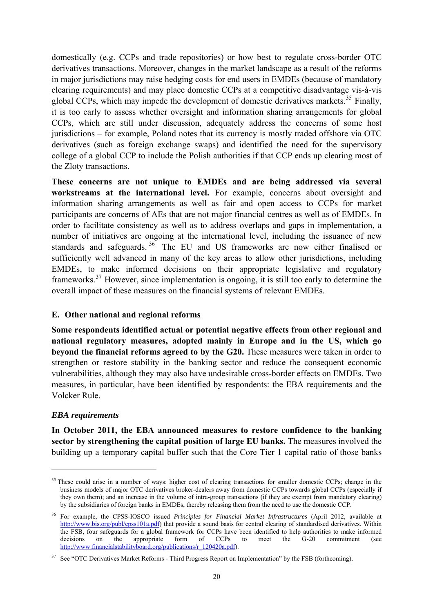domestically (e.g. CCPs and trade repositories) or how best to regulate cross-border OTC derivatives transactions. Moreover, changes in the market landscape as a result of the reforms in major jurisdictions may raise hedging costs for end users in EMDEs (because of mandatory clearing requirements) and may place domestic CCPs at a competitive disadvantage vis-à-vis global CCPs, which may impede the development of domestic derivatives markets.<sup>[35](#page-21-1)</sup> Finally, it is too early to assess whether oversight and information sharing arrangements for global CCPs, which are still under discussion, adequately address the concerns of some host jurisdictions – for example, Poland notes that its currency is mostly traded offshore via OTC derivatives (such as foreign exchange swaps) and identified the need for the supervisory college of a global CCP to include the Polish authorities if that CCP ends up clearing most of the Zloty transactions.

**These concerns are not unique to EMDEs and are being addressed via several workstreams at the international level.** For example, concerns about oversight and information sharing arrangements as well as fair and open access to CCPs for market participants are concerns of AEs that are not major financial centres as well as of EMDEs. In order to facilitate consistency as well as to address overlaps and gaps in implementation, a number of initiatives are ongoing at the international level, including the issuance of new standards and safeguards.<sup>[36](#page-21-2)</sup> The EU and US frameworks are now either finalised or sufficiently well advanced in many of the key areas to allow other jurisdictions, including EMDEs, to make informed decisions on their appropriate legislative and regulatory frameworks.[37](#page-21-3) However, since implementation is ongoing, it is still too early to determine the overall impact of these measures on the financial systems of relevant EMDEs.

#### <span id="page-21-0"></span>**E. Other national and regional reforms**

**Some respondents identified actual or potential negative effects from other regional and national regulatory measures, adopted mainly in Europe and in the US, which go beyond the financial reforms agreed to by the G20.** These measures were taken in order to strengthen or restore stability in the banking sector and reduce the consequent economic vulnerabilities, although they may also have undesirable cross-border effects on EMDEs. Two measures, in particular, have been identified by respondents: the EBA requirements and the Volcker Rule.

#### *EBA requirements*

 $\overline{a}$ 

**In October 2011, the EBA announced measures to restore confidence to the banking sector by strengthening the capital position of large EU banks.** The measures involved the building up a temporary capital buffer such that the Core Tier 1 capital ratio of those banks

<span id="page-21-1"></span><sup>&</sup>lt;sup>35</sup> These could arise in a number of ways: higher cost of clearing transactions for smaller domestic CCPs; change in the business models of major OTC derivatives broker-dealers away from domestic CCPs towards global CCPs (especially if they own them); and an increase in the volume of intra-group transactions (if they are exempt from mandatory clearing) by the subsidiaries of foreign banks in EMDEs, thereby releasing them from the need to use the domestic CCP.

<span id="page-21-2"></span><sup>36</sup> For example, the CPSS-IOSCO issued *Principles for Financial Market Infrastructures* (April 2012, available at <http://www.bis.org/publ/cpss101a.pdf>) that provide a sound basis for central clearing of standardised derivatives. Within the FSB, four safeguards for a global framework for CCPs have been identified to help authorities to make informed decisions on the appropriate form of CCPs to meet the G-20 commitment (see [http://www.financialstabilityboard.org/publications/r\\_120420a.pdf](http://www.financialstabilityboard.org/publications/r_120420a.pdf)).

<span id="page-21-3"></span><sup>&</sup>lt;sup>37</sup> See "OTC Derivatives Market Reforms - Third Progress Report on Implementation" by the FSB (forthcoming).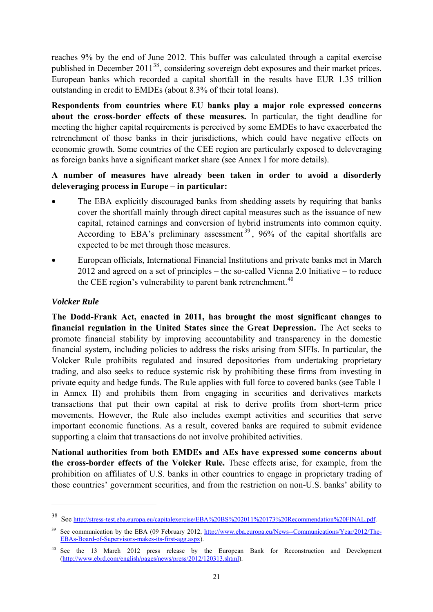reaches 9% by the end of June 2012. This buffer was calculated through a capital exercise published in December 2011<sup>[38](#page-22-0)</sup>, considering sovereign debt exposures and their market prices. European banks which recorded a capital shortfall in the results have EUR 1.35 trillion outstanding in credit to EMDEs (about 8.3% of their total loans).

**Respondents from countries where EU banks play a major role expressed concerns about the cross-border effects of these measures.** In particular, the tight deadline for meeting the higher capital requirements is perceived by some EMDEs to have exacerbated the retrenchment of those banks in their jurisdictions, which could have negative effects on economic growth. Some countries of the CEE region are particularly exposed to deleveraging as foreign banks have a significant market share (see Annex I for more details).

### **A number of measures have already been taken in order to avoid a disorderly deleveraging process in Europe – in particular:**

- The EBA explicitly discouraged banks from shedding assets by requiring that banks cover the shortfall mainly through direct capital measures such as the issuance of new capital, retained earnings and conversion of hybrid instruments into common equity. According to EBA's preliminary assessment<sup>[39](#page-22-1)</sup>, 96% of the capital shortfalls are expected to be met through those measures.
- European officials, International Financial Institutions and private banks met in March 2012 and agreed on a set of principles – the so-called Vienna 2.0 Initiative – to reduce the CEE region's vulnerability to parent bank retrenchment.<sup>[40](#page-22-2)</sup>

#### *Volcker Rule*

 $\overline{a}$ 

**The Dodd-Frank Act, enacted in 2011, has brought the most significant changes to financial regulation in the United States since the Great Depression.** The Act seeks to promote financial stability by improving accountability and transparency in the domestic financial system, including policies to address the risks arising from SIFIs. In particular, the Volcker Rule prohibits regulated and insured depositories from undertaking proprietary trading, and also seeks to reduce systemic risk by prohibiting these firms from investing in private equity and hedge funds. The Rule applies with full force to covered banks (see Table 1 in Annex II) and prohibits them from engaging in securities and derivatives markets transactions that put their own capital at risk to derive profits from short-term price movements. However, the Rule also includes exempt activities and securities that serve important economic functions. As a result, covered banks are required to submit evidence supporting a claim that transactions do not involve prohibited activities.

**National authorities from both EMDEs and AEs have expressed some concerns about the cross-border effects of the Volcker Rule.** These effects arise, for example, from the prohibition on affiliates of U.S. banks in other countries to engage in proprietary trading of those countries' government securities, and from the restriction on non-U.S. banks' ability to

<span id="page-22-0"></span><sup>38</sup> See [http://stress-test.eba.europa.eu/capitalexercise/EBA%20BS%202011%20173%20Recommendation%20FINAL.pdf.](http://stress-test.eba.europa.eu/capitalexercise/EBA%20BS%202011%20173%20Recommendation%20FINAL.pdf)

<span id="page-22-1"></span>See communication by the EBA (09 February 2012, [http://www.eba.europa.eu/News--Communications/Year/2012/The-](http://www.eba.europa.eu/News--Communications/Year/2012/The-EBAs-Board-of-Supervisors-makes-its-first-agg.aspx)[EBAs-Board-of-Supervisors-makes-its-first-agg.aspx](http://www.eba.europa.eu/News--Communications/Year/2012/The-EBAs-Board-of-Supervisors-makes-its-first-agg.aspx)).

<span id="page-22-2"></span><sup>&</sup>lt;sup>40</sup> See the 13 March 2012 press release by the European Bank for Reconstruction and Development ([http://www.ebrd.com/english/pages/news/press/2012/120313.shtml\)](http://www.ebrd.com/english/pages/news/press/2012/120313.shtml).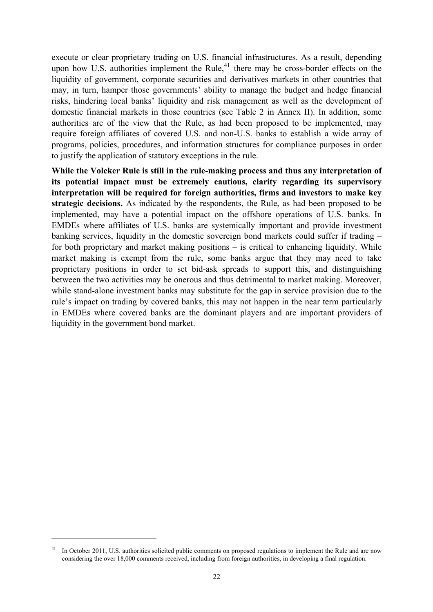execute or clear proprietary trading on U.S. financial infrastructures. As a result, depending upon how U.S. authorities implement the Rule, $41$  there may be cross-border effects on the liquidity of government, corporate securities and derivatives markets in other countries that may, in turn, hamper those governments' ability to manage the budget and hedge financial risks, hindering local banks' liquidity and risk management as well as the development of domestic financial markets in those countries (see Table 2 in Annex II). In addition, some authorities are of the view that the Rule, as had been proposed to be implemented, may require foreign affiliates of covered U.S. and non-U.S. banks to establish a wide array of programs, policies, procedures, and information structures for compliance purposes in order to justify the application of statutory exceptions in the rule.

**While the Volcker Rule is still in the rule-making process and thus any interpretation of its potential impact must be extremely cautious, clarity regarding its supervisory interpretation will be required for foreign authorities, firms and investors to make key strategic decisions.** As indicated by the respondents, the Rule, as had been proposed to be implemented, may have a potential impact on the offshore operations of U.S. banks. In EMDEs where affiliates of U.S. banks are systemically important and provide investment banking services, liquidity in the domestic sovereign bond markets could suffer if trading – for both proprietary and market making positions – is critical to enhancing liquidity. While market making is exempt from the rule, some banks argue that they may need to take proprietary positions in order to set bid-ask spreads to support this, and distinguishing between the two activities may be onerous and thus detrimental to market making. Moreover, while stand-alone investment banks may substitute for the gap in service provision due to the rule's impact on trading by covered banks, this may not happen in the near term particularly in EMDEs where covered banks are the dominant players and are important providers of liquidity in the government bond market.

<span id="page-23-0"></span>In October 2011, U.S. authorities solicited public comments on proposed regulations to implement the Rule and are now considering the over 18,000 comments received, including from foreign authorities, in developing a final regulation.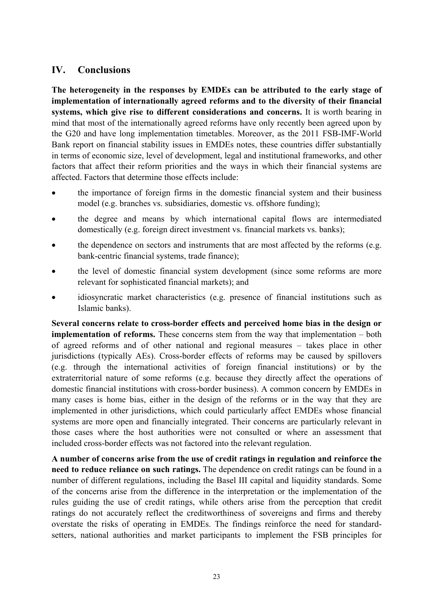# <span id="page-24-0"></span>**IV. Conclusions**

**The heterogeneity in the responses by EMDEs can be attributed to the early stage of implementation of internationally agreed reforms and to the diversity of their financial systems, which give rise to different considerations and concerns.** It is worth bearing in mind that most of the internationally agreed reforms have only recently been agreed upon by the G20 and have long implementation timetables. Moreover, as the 2011 FSB-IMF-World Bank report on financial stability issues in EMDEs notes, these countries differ substantially in terms of economic size, level of development, legal and institutional frameworks, and other factors that affect their reform priorities and the ways in which their financial systems are affected. Factors that determine those effects include:

- the importance of foreign firms in the domestic financial system and their business model (e.g. branches vs. subsidiaries, domestic vs. offshore funding);
- the degree and means by which international capital flows are intermediated domestically (e.g. foreign direct investment vs. financial markets vs. banks);
- the dependence on sectors and instruments that are most affected by the reforms (e.g. bank-centric financial systems, trade finance);
- the level of domestic financial system development (since some reforms are more relevant for sophisticated financial markets); and
- idiosyncratic market characteristics (e.g. presence of financial institutions such as Islamic banks).

**Several concerns relate to cross-border effects and perceived home bias in the design or implementation of reforms.** These concerns stem from the way that implementation – both of agreed reforms and of other national and regional measures – takes place in other jurisdictions (typically AEs). Cross-border effects of reforms may be caused by spillovers (e.g. through the international activities of foreign financial institutions) or by the extraterritorial nature of some reforms (e.g. because they directly affect the operations of domestic financial institutions with cross-border business). A common concern by EMDEs in many cases is home bias, either in the design of the reforms or in the way that they are implemented in other jurisdictions, which could particularly affect EMDEs whose financial systems are more open and financially integrated. Their concerns are particularly relevant in those cases where the host authorities were not consulted or where an assessment that included cross-border effects was not factored into the relevant regulation.

**A number of concerns arise from the use of credit ratings in regulation and reinforce the need to reduce reliance on such ratings.** The dependence on credit ratings can be found in a number of different regulations, including the Basel III capital and liquidity standards. Some of the concerns arise from the difference in the interpretation or the implementation of the rules guiding the use of credit ratings, while others arise from the perception that credit ratings do not accurately reflect the creditworthiness of sovereigns and firms and thereby overstate the risks of operating in EMDEs. The findings reinforce the need for standardsetters, national authorities and market participants to implement the FSB principles for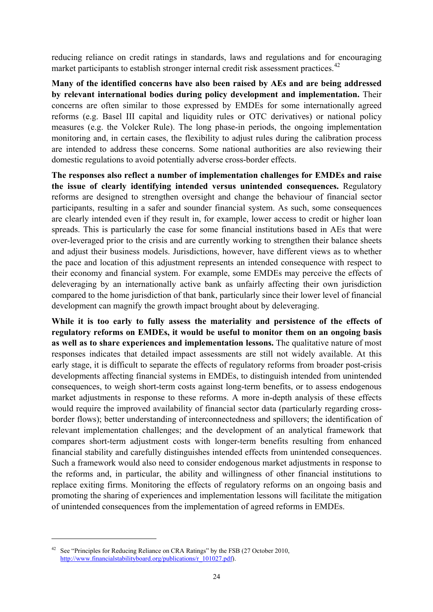reducing reliance on credit ratings in standards, laws and regulations and for encouraging market participants to establish stronger internal credit risk assessment practices.<sup>[42](#page-25-0)</sup>

**Many of the identified concerns have also been raised by AEs and are being addressed by relevant international bodies during policy development and implementation.** Their concerns are often similar to those expressed by EMDEs for some internationally agreed reforms (e.g. Basel III capital and liquidity rules or OTC derivatives) or national policy measures (e.g. the Volcker Rule). The long phase-in periods, the ongoing implementation monitoring and, in certain cases, the flexibility to adjust rules during the calibration process are intended to address these concerns. Some national authorities are also reviewing their domestic regulations to avoid potentially adverse cross-border effects.

**The responses also reflect a number of implementation challenges for EMDEs and raise the issue of clearly identifying intended versus unintended consequences.** Regulatory reforms are designed to strengthen oversight and change the behaviour of financial sector participants, resulting in a safer and sounder financial system. As such, some consequences are clearly intended even if they result in, for example, lower access to credit or higher loan spreads. This is particularly the case for some financial institutions based in AEs that were over-leveraged prior to the crisis and are currently working to strengthen their balance sheets and adjust their business models. Jurisdictions, however, have different views as to whether the pace and location of this adjustment represents an intended consequence with respect to their economy and financial system. For example, some EMDEs may perceive the effects of deleveraging by an internationally active bank as unfairly affecting their own jurisdiction compared to the home jurisdiction of that bank, particularly since their lower level of financial development can magnify the growth impact brought about by deleveraging.

**While it is too early to fully assess the materiality and persistence of the effects of regulatory reforms on EMDEs, it would be useful to monitor them on an ongoing basis as well as to share experiences and implementation lessons.** The qualitative nature of most responses indicates that detailed impact assessments are still not widely available. At this early stage, it is difficult to separate the effects of regulatory reforms from broader post-crisis developments affecting financial systems in EMDEs, to distinguish intended from unintended consequences, to weigh short-term costs against long-term benefits, or to assess endogenous market adjustments in response to these reforms. A more in-depth analysis of these effects would require the improved availability of financial sector data (particularly regarding crossborder flows); better understanding of interconnectedness and spillovers; the identification of relevant implementation challenges; and the development of an analytical framework that compares short-term adjustment costs with longer-term benefits resulting from enhanced financial stability and carefully distinguishes intended effects from unintended consequences. Such a framework would also need to consider endogenous market adjustments in response to the reforms and, in particular, the ability and willingness of other financial institutions to replace exiting firms. Monitoring the effects of regulatory reforms on an ongoing basis and promoting the sharing of experiences and implementation lessons will facilitate the mitigation of unintended consequences from the implementation of agreed reforms in EMDEs.

<span id="page-25-0"></span><sup>&</sup>lt;sup>42</sup> See "Principles for Reducing Reliance on CRA Ratings" by the FSB (27 October 2010, [http://www.financialstabilityboard.org/publications/r\\_101027.pdf](http://www.financialstabilityboard.org/publications/r_101027.pdf)).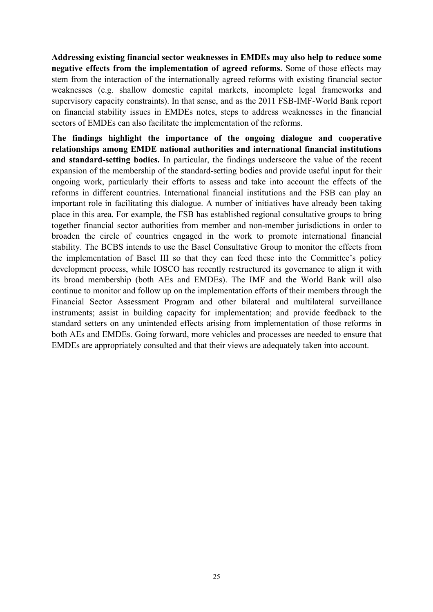**Addressing existing financial sector weaknesses in EMDEs may also help to reduce some negative effects from the implementation of agreed reforms.** Some of those effects may stem from the interaction of the internationally agreed reforms with existing financial sector weaknesses (e.g. shallow domestic capital markets, incomplete legal frameworks and supervisory capacity constraints). In that sense, and as the 2011 FSB-IMF-World Bank report on financial stability issues in EMDEs notes, steps to address weaknesses in the financial sectors of EMDEs can also facilitate the implementation of the reforms.

**The findings highlight the importance of the ongoing dialogue and cooperative relationships among EMDE national authorities and international financial institutions and standard-setting bodies.** In particular, the findings underscore the value of the recent expansion of the membership of the standard-setting bodies and provide useful input for their ongoing work, particularly their efforts to assess and take into account the effects of the reforms in different countries. International financial institutions and the FSB can play an important role in facilitating this dialogue. A number of initiatives have already been taking place in this area. For example, the FSB has established regional consultative groups to bring together financial sector authorities from member and non-member jurisdictions in order to broaden the circle of countries engaged in the work to promote international financial stability. The BCBS intends to use the Basel Consultative Group to monitor the effects from the implementation of Basel III so that they can feed these into the Committee's policy development process, while IOSCO has recently restructured its governance to align it with its broad membership (both AEs and EMDEs). The IMF and the World Bank will also continue to monitor and follow up on the implementation efforts of their members through the Financial Sector Assessment Program and other bilateral and multilateral surveillance instruments; assist in building capacity for implementation; and provide feedback to the standard setters on any unintended effects arising from implementation of those reforms in both AEs and EMDEs. Going forward, more vehicles and processes are needed to ensure that EMDEs are appropriately consulted and that their views are adequately taken into account.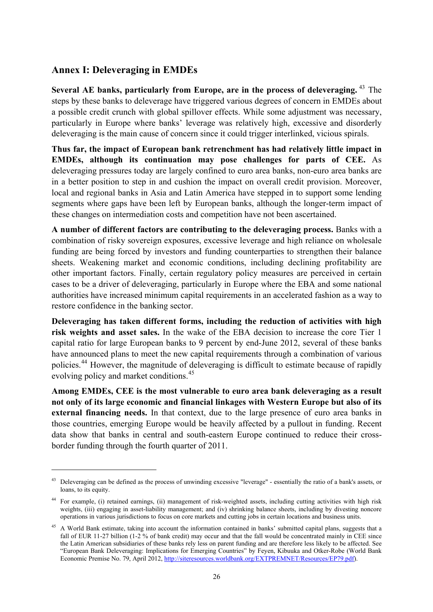# <span id="page-27-0"></span>**Annex I: Deleveraging in EMDEs**

 $\overline{a}$ 

**Several AE banks, particularly from Europe, are in the process of deleveraging.** [43](#page-27-1) The steps by these banks to deleverage have triggered various degrees of concern in EMDEs about a possible credit crunch with global spillover effects. While some adjustment was necessary, particularly in Europe where banks' leverage was relatively high, excessive and disorderly deleveraging is the main cause of concern since it could trigger interlinked, vicious spirals.

**Thus far, the impact of European bank retrenchment has had relatively little impact in EMDEs, although its continuation may pose challenges for parts of CEE.** As deleveraging pressures today are largely confined to euro area banks, non-euro area banks are in a better position to step in and cushion the impact on overall credit provision. Moreover, local and regional banks in Asia and Latin America have stepped in to support some lending segments where gaps have been left by European banks, although the longer-term impact of these changes on intermediation costs and competition have not been ascertained.

**A number of different factors are contributing to the deleveraging process.** Banks with a combination of risky sovereign exposures, excessive leverage and high reliance on wholesale funding are being forced by investors and funding counterparties to strengthen their balance sheets. Weakening market and economic conditions, including declining profitability are other important factors. Finally, certain regulatory policy measures are perceived in certain cases to be a driver of deleveraging, particularly in Europe where the EBA and some national authorities have increased minimum capital requirements in an accelerated fashion as a way to restore confidence in the banking sector.

**Deleveraging has taken different forms, including the reduction of activities with high risk weights and asset sales.** In the wake of the EBA decision to increase the core Tier 1 capital ratio for large European banks to 9 percent by end-June 2012, several of these banks have announced plans to meet the new capital requirements through a combination of various policies.[44](#page-27-2) However, the magnitude of deleveraging is difficult to estimate because of rapidly evolving policy and market conditions.<sup>[45](#page-27-3)</sup>

**Among EMDEs, CEE is the most vulnerable to euro area bank deleveraging as a result not only of its large economic and financial linkages with Western Europe but also of its external financing needs.** In that context, due to the large presence of euro area banks in those countries, emerging Europe would be heavily affected by a pullout in funding. Recent data show that banks in central and south-eastern Europe continued to reduce their crossborder funding through the fourth quarter of 2011.

<span id="page-27-1"></span><sup>&</sup>lt;sup>43</sup> Deleveraging can be defined as the process of unwinding excessive "leverage" - essentially the ratio of a bank's assets, or loans, to its equity.

<span id="page-27-2"></span><sup>44</sup> For example, (i) retained earnings, (ii) management of risk-weighted assets, including cutting activities with high risk weights, (iii) engaging in asset-liability management; and (iv) shrinking balance sheets, including by divesting noncore operations in various jurisdictions to focus on core markets and cutting jobs in certain locations and business units.

<span id="page-27-3"></span><sup>45</sup> A World Bank estimate, taking into account the information contained in banks' submitted capital plans, suggests that a fall of EUR 11-27 billion (1-2 % of bank credit) may occur and that the fall would be concentrated mainly in CEE since the Latin American subsidiaries of these banks rely less on parent funding and are therefore less likely to be affected. See "European Bank Deleveraging: Implications for Emerging Countries" by Feyen, Kibuuka and Otker-Robe (World Bank Economic Premise No. 79, April 2012, <http://siteresources.worldbank.org/EXTPREMNET/Resources/EP79.pdf>).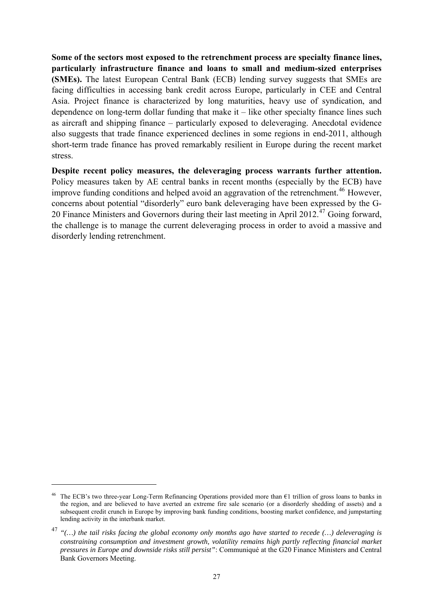**Some of the sectors most exposed to the retrenchment process are specialty finance lines, particularly infrastructure finance and loans to small and medium-sized enterprises (SMEs).** The latest European Central Bank (ECB) lending survey suggests that SMEs are facing difficulties in accessing bank credit across Europe, particularly in CEE and Central Asia. Project finance is characterized by long maturities, heavy use of syndication, and dependence on long-term dollar funding that make it – like other specialty finance lines such as aircraft and shipping finance – particularly exposed to deleveraging. Anecdotal evidence also suggests that trade finance experienced declines in some regions in end-2011, although short-term trade finance has proved remarkably resilient in Europe during the recent market stress.

**Despite recent policy measures, the deleveraging process warrants further attention.**  Policy measures taken by AE central banks in recent months (especially by the ECB) have improve funding conditions and helped avoid an aggravation of the retrenchment.<sup>[46](#page-28-0)</sup> However, concerns about potential "disorderly" euro bank deleveraging have been expressed by the G-20 Finance Ministers and Governors during their last meeting in April 2012.<sup>[47](#page-28-1)</sup> Going forward, the challenge is to manage the current deleveraging process in order to avoid a massive and disorderly lending retrenchment.

<span id="page-28-0"></span>The ECB's two three-year Long-Term Refinancing Operations provided more than €1 trillion of gross loans to banks in the region, and are believed to have averted an extreme fire sale scenario (or a disorderly shedding of assets) and a subsequent credit crunch in Europe by improving bank funding conditions, boosting market confidence, and jumpstarting lending activity in the interbank market.

<span id="page-28-1"></span><sup>47</sup> *"(…) the tail risks facing the global economy only months ago have started to recede (…) deleveraging is constraining consumption and investment growth, volatility remains high partly reflecting financial market pressures in Europe and downside risks still persist"*: Communiqué at the G20 Finance Ministers and Central Bank Governors Meeting.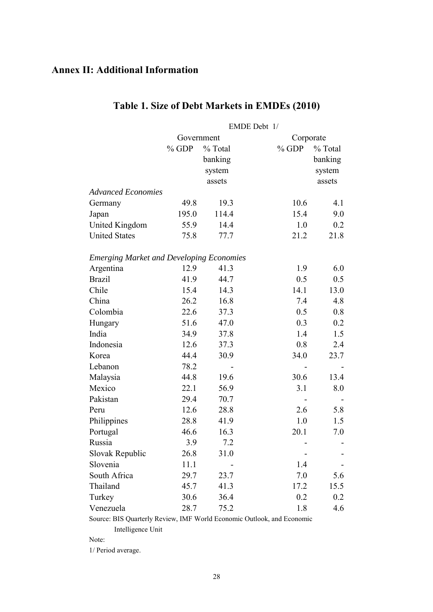# <span id="page-29-0"></span>**Annex II: Additional Information**

|                                                 | EMDE Debt 1/            |         |         |         |
|-------------------------------------------------|-------------------------|---------|---------|---------|
|                                                 | Government<br>Corporate |         |         |         |
|                                                 | $%$ GDP                 | % Total | $%$ GDP | % Total |
|                                                 |                         | banking |         | banking |
|                                                 |                         | system  |         | system  |
|                                                 |                         | assets  |         | assets  |
| <b>Advanced Economies</b>                       |                         |         |         |         |
| Germany                                         | 49.8                    | 19.3    | 10.6    | 4.1     |
| Japan                                           | 195.0                   | 114.4   | 15.4    | 9.0     |
| United Kingdom                                  | 55.9                    | 14.4    | 1.0     | 0.2     |
| <b>United States</b>                            | 75.8                    | 77.7    | 21.2    | 21.8    |
| <b>Emerging Market and Developing Economies</b> |                         |         |         |         |
| Argentina                                       | 12.9                    | 41.3    | 1.9     | 6.0     |
| <b>Brazil</b>                                   | 41.9                    | 44.7    | 0.5     | 0.5     |
| Chile                                           | 15.4                    | 14.3    | 14.1    | 13.0    |
| China                                           | 26.2                    | 16.8    | 7.4     | 4.8     |
| Colombia                                        | 22.6                    | 37.3    | 0.5     | 0.8     |
| Hungary                                         | 51.6                    | 47.0    | 0.3     | 0.2     |
| India                                           | 34.9                    | 37.8    | 1.4     | 1.5     |
| Indonesia                                       | 12.6                    | 37.3    | 0.8     | 2.4     |
| Korea                                           | 44.4                    | 30.9    | 34.0    | 23.7    |
| Lebanon                                         | 78.2                    |         |         |         |
| Malaysia                                        | 44.8                    | 19.6    | 30.6    | 13.4    |
| Mexico                                          | 22.1                    | 56.9    | 3.1     | 8.0     |
| Pakistan                                        | 29.4                    | 70.7    |         |         |
| Peru                                            | 12.6                    | 28.8    | 2.6     | 5.8     |
| Philippines                                     | 28.8                    | 41.9    | 1.0     | 1.5     |
| Portugal                                        | 46.6                    | 16.3    | 20.1    | 7.0     |
| Russia                                          | 3.9                     | 7.2     |         |         |
| Slovak Republic                                 | 26.8                    | 31.0    |         |         |
| Slovenia                                        | 11.1                    |         | 1.4     |         |
| South Africa                                    | 29.7                    | 23.7    | 7.0     | 5.6     |
| Thailand                                        | 45.7                    | 41.3    | 17.2    | 15.5    |
| Turkey                                          | 30.6                    | 36.4    | 0.2     | 0.2     |
| Venezuela                                       | 28.7                    | 75.2    | 1.8     | 4.6     |

# **Table 1. Size of Debt Markets in EMDEs (2010)**

Source: BIS Quarterly Review, IMF World Economic Outlook, and Economic Intelligence Unit

1/ Period average.

Note: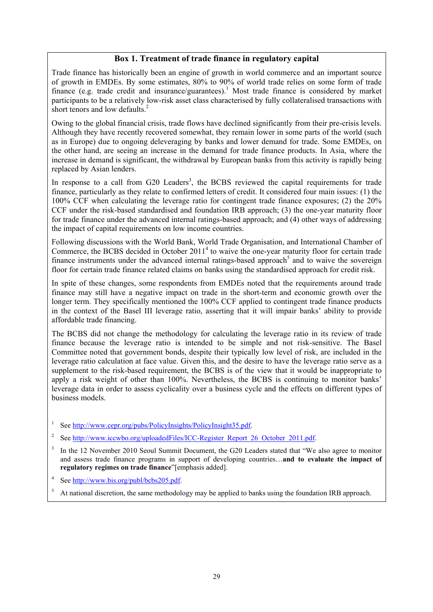#### **Box 1. Treatment of trade finance in regulatory capital**

Trade finance has historically been an engine of growth in world commerce and an important source of growth in EMDEs. By some estimates, 80% to 90% of world trade relies on some form of trade finance (e.g. trade credit and insurance/guarantees).<sup>1</sup> Most trade finance is considered by market participants to be a relatively low-risk asset class characterised by fully collateralised transactions with short tenors and low defaults.<sup>2</sup>

Owing to the global financial crisis, trade flows have declined significantly from their pre-crisis levels. Although they have recently recovered somewhat, they remain lower in some parts of the world (such as in Europe) due to ongoing deleveraging by banks and lower demand for trade. Some EMDEs, on the other hand, are seeing an increase in the demand for trade finance products. In Asia, where the increase in demand is significant, the withdrawal by European banks from this activity is rapidly being replaced by Asian lenders.

In response to a call from  $G20$  Leaders<sup>3</sup>, the BCBS reviewed the capital requirements for trade finance, particularly as they relate to confirmed letters of credit. It considered four main issues: (1) the 100% CCF when calculating the leverage ratio for contingent trade finance exposures; (2) the 20% CCF under the risk-based standardised and foundation IRB approach; (3) the one-year maturity floor for trade finance under the advanced internal ratings-based approach; and (4) other ways of addressing the impact of capital requirements on low income countries.

Following discussions with the World Bank, World Trade Organisation, and International Chamber of Commerce, the BCBS decided in October 2011<sup>4</sup> to waive the one-year maturity floor for certain trade finance instruments under the advanced internal ratings-based approach<sup>5</sup> and to waive the sovereign floor for certain trade finance related claims on banks using the standardised approach for credit risk.

In spite of these changes, some respondents from EMDEs noted that the requirements around trade finance may still have a negative impact on trade in the short-term and economic growth over the longer term. They specifically mentioned the 100% CCF applied to contingent trade finance products in the context of the Basel III leverage ratio, asserting that it will impair banks' ability to provide affordable trade financing.

The BCBS did not change the methodology for calculating the leverage ratio in its review of trade finance because the leverage ratio is intended to be simple and not risk-sensitive. The Basel Committee noted that government bonds, despite their typically low level of risk, are included in the leverage ratio calculation at face value. Given this, and the desire to have the leverage ratio serve as a supplement to the risk-based requirement, the BCBS is of the view that it would be inappropriate to apply a risk weight of other than 100%. Nevertheless, the BCBS is continuing to monitor banks' leverage data in order to assess cyclicality over a business cycle and the effects on different types of business models.

- See <http://www.cepr.org/pubs/PolicyInsights/PolicyInsight35.pdf>.
- <sup>2</sup> See [http://www.iccwbo.org/uploadedFiles/ICC-Register\\_Report\\_26\\_October\\_2011.pdf.](http://www.iccwbo.org/uploadedFiles/ICC-Register_Report_26_October_2011.pdf)
- In the 12 November 2010 Seoul Summit Document, the G20 Leaders stated that "We also agree to monitor" and assess trade finance programs in support of developing countries…**and to evaluate the impact of regulatory regimes on trade finance**"[emphasis added].
- 4 See [http://www.bis.org/publ/bcbs205.pdf.](http://www.bis.org/publ/bcbs205.pdf)
- 5 At national discretion, the same methodology may be applied to banks using the foundation IRB approach.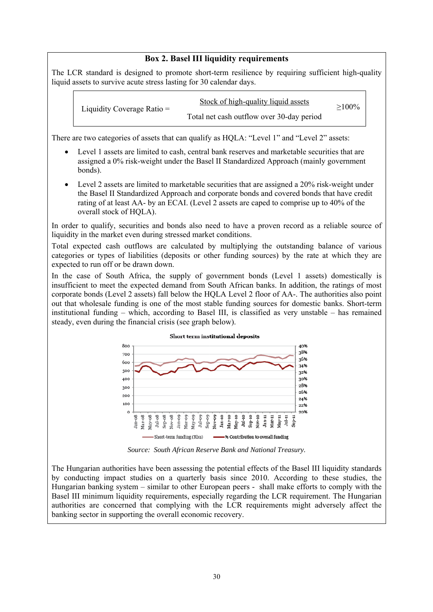#### **Box 2. Basel III liquidity requirements**

The LCR standard is designed to promote short-term resilience by requiring sufficient high-quality liquid assets to survive acute stress lasting for 30 calendar days.

| Liquidity Coverage Ratio $=$ | Stock of high-quality liquid assets       | $\geq$ 100% |
|------------------------------|-------------------------------------------|-------------|
|                              | Total net cash outflow over 30-day period |             |

There are two categories of assets that can qualify as HQLA: "Level 1" and "Level 2" assets:

- Level 1 assets are limited to cash, central bank reserves and marketable securities that are assigned a 0% risk-weight under the Basel II Standardized Approach (mainly government bonds).
- Level 2 assets are limited to marketable securities that are assigned a 20% risk-weight under the Basel II Standardized Approach and corporate bonds and covered bonds that have credit rating of at least AA- by an ECAI. (Level 2 assets are caped to comprise up to 40% of the overall stock of HQLA).

In order to qualify, securities and bonds also need to have a proven record as a reliable source of liquidity in the market even during stressed market conditions.

Total expected cash outflows are calculated by multiplying the outstanding balance of various categories or types of liabilities (deposits or other funding sources) by the rate at which they are expected to run off or be drawn down.

In the case of South Africa, the supply of government bonds (Level 1 assets) domestically is insufficient to meet the expected demand from South African banks. In addition, the ratings of most corporate bonds (Level 2 assets) fall below the HQLA Level 2 floor of AA-. The authorities also point out that wholesale funding is one of the most stable funding sources for domestic banks. Short-term institutional funding – which, according to Basel III, is classified as very unstable – has remained steady, even during the financial crisis (see graph below).



*Source: South African Reserve Bank and National Treasury.* 

The Hungarian authorities have been assessing the potential effects of the Basel III liquidity standards by conducting impact studies on a quarterly basis since 2010. According to these studies, the Hungarian banking system – similar to other European peers - shall make efforts to comply with the Basel III minimum liquidity requirements, especially regarding the LCR requirement. The Hungarian authorities are concerned that complying with the LCR requirements might adversely affect the banking sector in supporting the overall economic recovery.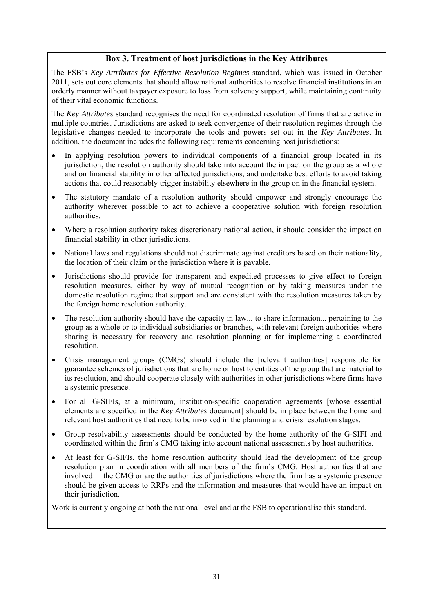#### **Box 3. Treatment of host jurisdictions in the Key Attributes**

The FSB's *Key Attributes for Effective Resolution Regimes* standard, which was issued in October 2011, sets out core elements that should allow national authorities to resolve financial institutions in an orderly manner without taxpayer exposure to loss from solvency support, while maintaining continuity of their vital economic functions.

The *Key Attributes* standard recognises the need for coordinated resolution of firms that are active in multiple countries. Jurisdictions are asked to seek convergence of their resolution regimes through the legislative changes needed to incorporate the tools and powers set out in the *Key Attributes*. In addition, the document includes the following requirements concerning host jurisdictions:

- In applying resolution powers to individual components of a financial group located in its jurisdiction, the resolution authority should take into account the impact on the group as a whole and on financial stability in other affected jurisdictions, and undertake best efforts to avoid taking actions that could reasonably trigger instability elsewhere in the group on in the financial system.
- The statutory mandate of a resolution authority should empower and strongly encourage the authority wherever possible to act to achieve a cooperative solution with foreign resolution authorities.
- Where a resolution authority takes discretionary national action, it should consider the impact on financial stability in other jurisdictions.
- National laws and regulations should not discriminate against creditors based on their nationality, the location of their claim or the jurisdiction where it is payable.
- Jurisdictions should provide for transparent and expedited processes to give effect to foreign resolution measures, either by way of mutual recognition or by taking measures under the domestic resolution regime that support and are consistent with the resolution measures taken by the foreign home resolution authority.
- The resolution authority should have the capacity in law... to share information... pertaining to the group as a whole or to individual subsidiaries or branches, with relevant foreign authorities where sharing is necessary for recovery and resolution planning or for implementing a coordinated resolution.
- Crisis management groups (CMGs) should include the [relevant authorities] responsible for guarantee schemes of jurisdictions that are home or host to entities of the group that are material to its resolution, and should cooperate closely with authorities in other jurisdictions where firms have a systemic presence.
- For all G-SIFIs, at a minimum, institution-specific cooperation agreements [whose essential elements are specified in the *Key Attributes* document] should be in place between the home and relevant host authorities that need to be involved in the planning and crisis resolution stages.
- Group resolvability assessments should be conducted by the home authority of the G-SIFI and coordinated within the firm's CMG taking into account national assessments by host authorities.
- At least for G-SIFIs, the home resolution authority should lead the development of the group resolution plan in coordination with all members of the firm's CMG. Host authorities that are involved in the CMG or are the authorities of jurisdictions where the firm has a systemic presence should be given access to RRPs and the information and measures that would have an impact on their jurisdiction.

Work is currently ongoing at both the national level and at the FSB to operationalise this standard.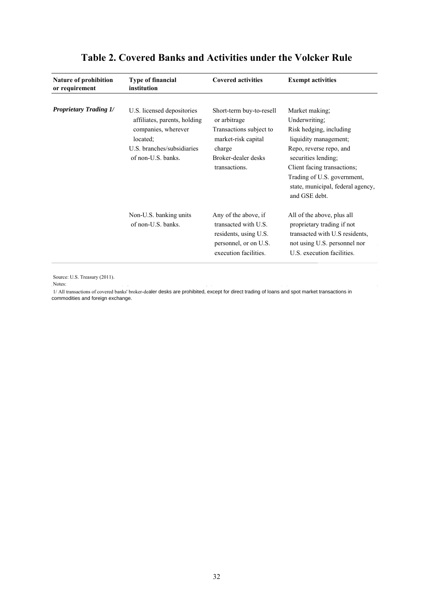| Nature of prohibition<br>or requirement | <b>Type of financial</b><br>institution                    | <b>Covered activities</b>                                                                                               | <b>Exempt activities</b>                                                                                                                                           |
|-----------------------------------------|------------------------------------------------------------|-------------------------------------------------------------------------------------------------------------------------|--------------------------------------------------------------------------------------------------------------------------------------------------------------------|
| <b>Proprietary Trading 1/</b>           | U.S. licensed depositories<br>affiliates, parents, holding | Short-term buy-to-resell<br>or arbitrage                                                                                | Market making;<br>Underwriting;                                                                                                                                    |
|                                         | companies, wherever<br>located:                            | Transactions subject to<br>market-risk capital                                                                          | Risk hedging, including<br>liquidity management;                                                                                                                   |
|                                         | U.S. branches/subsidiaries<br>of non-U.S. banks.           | charge<br>Broker-dealer desks<br>transactions.                                                                          | Repo, reverse repo, and<br>securities lending;<br>Client facing transactions;<br>Trading of U.S. government,<br>state, municipal, federal agency,<br>and GSE debt. |
|                                         | Non-U.S. banking units<br>of non-U.S. banks.               | Any of the above, if<br>transacted with U.S.<br>residents, using U.S.<br>personnel, or on U.S.<br>execution facilities. | All of the above, plus all<br>proprietary trading if not<br>transacted with U.S residents,<br>not using U.S. personnel nor<br>U.S. execution facilities.           |

# **Table 2. Covered Banks and Activities under the Volcker Rule**

Source: U.S. Treasury (2011).

Notes:

1/ All transactions of covered banks' broker-dealer desks are prohibited, except for direct trading of loans and spot market transactions in commodities and foreign exchange.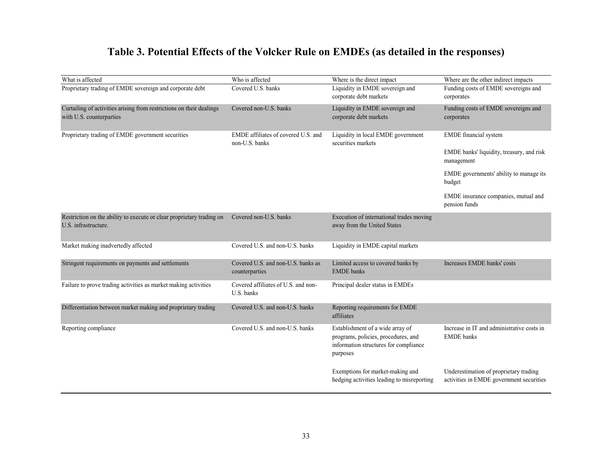# **Table 3. Potential Effects of the Volcker Rule on EMDEs (as detailed in the responses)**

| What is affected                                                                                 | Who is affected                                       | Where is the direct impact                                                                                                   | Where are the other indirect impacts                                               |
|--------------------------------------------------------------------------------------------------|-------------------------------------------------------|------------------------------------------------------------------------------------------------------------------------------|------------------------------------------------------------------------------------|
| Proprietary trading of EMDE sovereign and corporate debt                                         | Covered U.S. banks                                    | Liquidity in EMDE sovereign and<br>corporate debt markets                                                                    | Funding costs of EMDE sovereigns and<br>corporates                                 |
| Curtailing of activities arising from restrictions on their dealings<br>with U.S. counterparties | Covered non-U.S. banks                                | Liquidity in EMDE sovereign and<br>corporate debt markets                                                                    | Funding costs of EMDE sovereigns and<br>corporates                                 |
| Proprietary trading of EMDE government securities                                                | EMDE affiliates of covered U.S. and<br>non-U.S. banks | Liquidity in local EMDE government<br>securities markets                                                                     | <b>EMDE</b> financial system                                                       |
|                                                                                                  |                                                       |                                                                                                                              | EMDE banks' liquidity, treasury, and risk<br>management                            |
|                                                                                                  |                                                       |                                                                                                                              | EMDE governments' ability to manage its<br>budget                                  |
|                                                                                                  |                                                       |                                                                                                                              | EMDE insurance companies, mutual and<br>pension funds                              |
| Restriction on the ability to execute or clear proprietary trading on<br>U.S. infrastructure.    | Covered non-U.S. banks                                | Execution of international trades moving<br>away from the United States                                                      |                                                                                    |
| Market making inadvertedly affected                                                              | Covered U.S. and non-U.S. banks                       | Liquidity in EMDE capital markets                                                                                            |                                                                                    |
| Stringent requirements on payments and settlements                                               | Covered U.S. and non-U.S. banks as<br>counterparties  | Limited access to covered banks by<br><b>EMDE</b> banks                                                                      | Increases EMDE banks' costs                                                        |
| Failure to prove trading activities as market making activities                                  | Covered affiliates of U.S. and non-<br>U.S. banks     | Principal dealer status in EMDEs                                                                                             |                                                                                    |
| Differentiation between market making and proprietary trading                                    | Covered U.S. and non-U.S. banks                       | Reporting requirements for EMDE<br>affiliates                                                                                |                                                                                    |
| Reporting compliance                                                                             | Covered U.S. and non-U.S. banks                       | Establishment of a wide array of<br>programs, policies, procedures, and<br>information structures for compliance<br>purposes | Increase in IT and administrative costs in<br><b>EMDE</b> banks                    |
|                                                                                                  |                                                       | Exemptions for market-making and<br>hedging activities leading to misreporting                                               | Underestimation of proprietary trading<br>activities in EMDE government securities |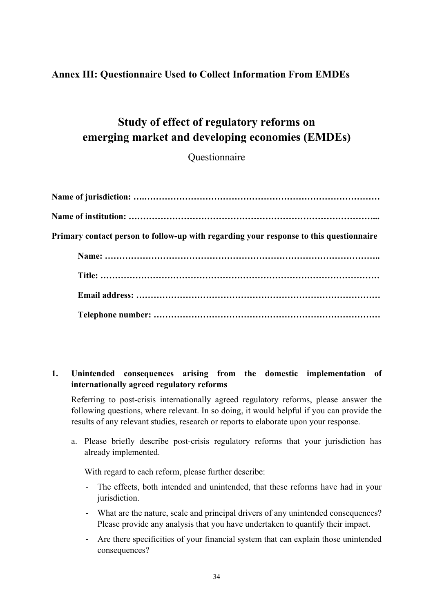# <span id="page-35-0"></span>**Annex III: Questionnaire Used to Collect Information From EMDEs**

# **Study of effect of regulatory reforms on emerging market and developing economies (EMDEs)**

Questionnaire

| Primary contact person to follow-up with regarding your response to this questionnaire |
|----------------------------------------------------------------------------------------|
|                                                                                        |
|                                                                                        |
|                                                                                        |
|                                                                                        |

### **1. Unintended consequences arising from the domestic implementation of internationally agreed regulatory reforms**

 Referring to post-crisis internationally agreed regulatory reforms, please answer the following questions, where relevant. In so doing, it would helpful if you can provide the results of any relevant studies, research or reports to elaborate upon your response.

a. Please briefly describe post-crisis regulatory reforms that your jurisdiction has already implemented.

With regard to each reform, please further describe:

- The effects, both intended and unintended, that these reforms have had in your jurisdiction.
- What are the nature, scale and principal drivers of any unintended consequences? Please provide any analysis that you have undertaken to quantify their impact.
- Are there specificities of your financial system that can explain those unintended consequences?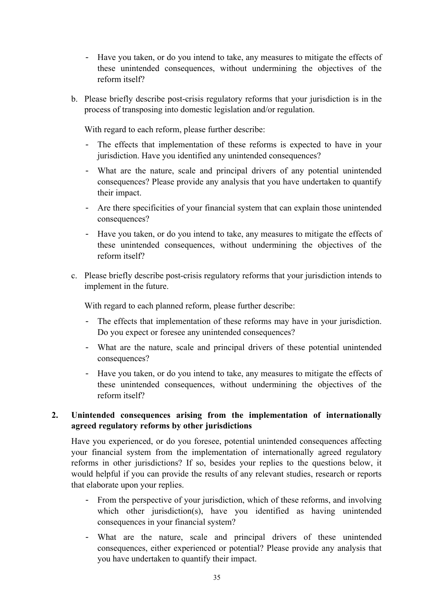- Have you taken, or do you intend to take, any measures to mitigate the effects of these unintended consequences, without undermining the objectives of the reform itself?
- b. Please briefly describe post-crisis regulatory reforms that your jurisdiction is in the process of transposing into domestic legislation and/or regulation.

With regard to each reform, please further describe:

- The effects that implementation of these reforms is expected to have in your jurisdiction. Have you identified any unintended consequences?
- What are the nature, scale and principal drivers of any potential unintended consequences? Please provide any analysis that you have undertaken to quantify their impact.
- Are there specificities of your financial system that can explain those unintended consequences?
- Have you taken, or do you intend to take, any measures to mitigate the effects of these unintended consequences, without undermining the objectives of the reform itself?
- c. Please briefly describe post-crisis regulatory reforms that your jurisdiction intends to implement in the future.

With regard to each planned reform, please further describe:

- The effects that implementation of these reforms may have in your jurisdiction. Do you expect or foresee any unintended consequences?
- What are the nature, scale and principal drivers of these potential unintended consequences?
- Have you taken, or do you intend to take, any measures to mitigate the effects of these unintended consequences, without undermining the objectives of the reform itself?

### **2. Unintended consequences arising from the implementation of internationally agreed regulatory reforms by other jurisdictions**

 Have you experienced, or do you foresee, potential unintended consequences affecting your financial system from the implementation of internationally agreed regulatory reforms in other jurisdictions? If so, besides your replies to the questions below, it would helpful if you can provide the results of any relevant studies, research or reports that elaborate upon your replies.

- From the perspective of your jurisdiction, which of these reforms, and involving which other jurisdiction(s), have you identified as having unintended consequences in your financial system?
- What are the nature, scale and principal drivers of these unintended consequences, either experienced or potential? Please provide any analysis that you have undertaken to quantify their impact.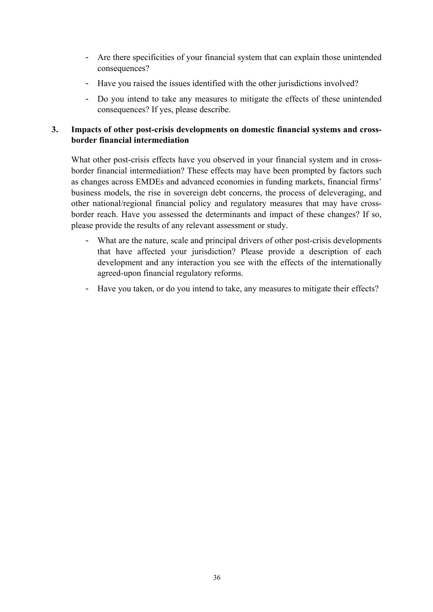- Are there specificities of your financial system that can explain those unintended consequences?
- Have you raised the issues identified with the other jurisdictions involved?
- Do you intend to take any measures to mitigate the effects of these unintended consequences? If yes, please describe.

### **3. Impacts of other post-crisis developments on domestic financial systems and crossborder financial intermediation**

 What other post-crisis effects have you observed in your financial system and in crossborder financial intermediation? These effects may have been prompted by factors such as changes across EMDEs and advanced economies in funding markets, financial firms' business models, the rise in sovereign debt concerns, the process of deleveraging, and other national/regional financial policy and regulatory measures that may have crossborder reach. Have you assessed the determinants and impact of these changes? If so, please provide the results of any relevant assessment or study.

- What are the nature, scale and principal drivers of other post-crisis developments that have affected your jurisdiction? Please provide a description of each development and any interaction you see with the effects of the internationally agreed-upon financial regulatory reforms.
- Have you taken, or do you intend to take, any measures to mitigate their effects?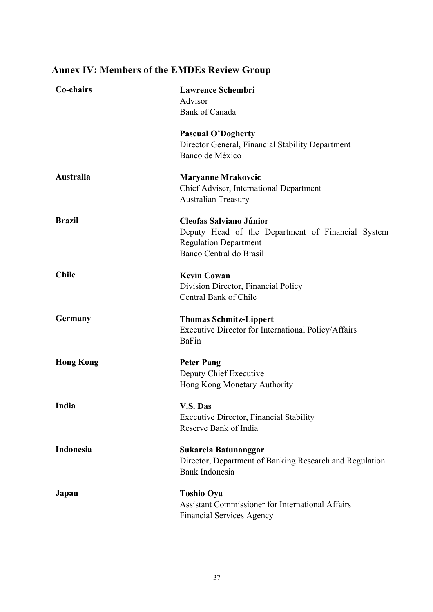# **Co-chairs Lawrence Schembri**  Advisor Bank of Canada **Pascual O'Dogherty**  Director General, Financial Stability Department Banco de México **Australia Maryanne Mrakovcic**  Chief Adviser, International Department Australian Treasury **Brazil Cleofas Salviano Júnior**  Deputy Head of the Department of Financial System Regulation Department Banco Central do Brasil **Chile Kevin Cowan** Division Director, Financial Policy Central Bank of Chile **Germany Thomas Schmitz-Lippert**  Executive Director for International Policy/Affairs BaFin **Hong Kong**  Peter Pang Deputy Chief Executive Hong Kong Monetary Authority **India V.S. Das**  Executive Director, Financial Stability Reserve Bank of India **Indonesia Sukarela Batunanggar**  Director, Department of Banking Research and Regulation Bank Indonesia **Japan Toshio Oya**  Assistant Commissioner for International Affairs Financial Services Agency

# <span id="page-38-0"></span>**Annex IV: Members of the EMDEs Review Group**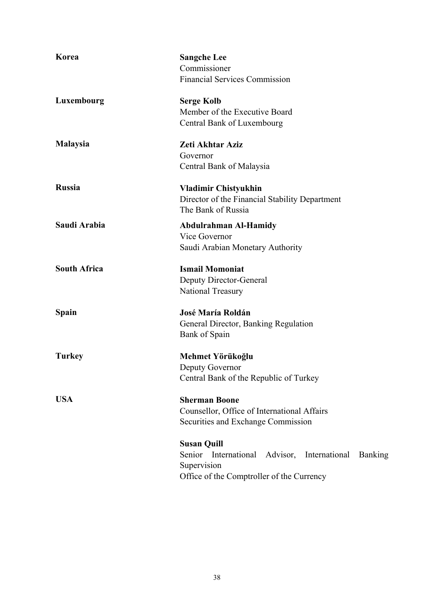| Korea               | <b>Sangche Lee</b>                                            |  |  |  |
|---------------------|---------------------------------------------------------------|--|--|--|
|                     | Commissioner                                                  |  |  |  |
|                     | <b>Financial Services Commission</b>                          |  |  |  |
| Luxembourg          | <b>Serge Kolb</b>                                             |  |  |  |
|                     | Member of the Executive Board                                 |  |  |  |
|                     | Central Bank of Luxembourg                                    |  |  |  |
| <b>Malaysia</b>     | Zeti Akhtar Aziz                                              |  |  |  |
|                     | Governor                                                      |  |  |  |
|                     | Central Bank of Malaysia                                      |  |  |  |
| <b>Russia</b>       | <b>Vladimir Chistyukhin</b>                                   |  |  |  |
|                     | Director of the Financial Stability Department                |  |  |  |
|                     | The Bank of Russia                                            |  |  |  |
| Saudi Arabia        | <b>Abdulrahman Al-Hamidy</b>                                  |  |  |  |
|                     | Vice Governor                                                 |  |  |  |
|                     | Saudi Arabian Monetary Authority                              |  |  |  |
| <b>South Africa</b> | <b>Ismail Momoniat</b>                                        |  |  |  |
|                     | Deputy Director-General                                       |  |  |  |
|                     | National Treasury                                             |  |  |  |
| Spain               | <b>José María Roldán</b>                                      |  |  |  |
|                     | General Director, Banking Regulation                          |  |  |  |
|                     | Bank of Spain                                                 |  |  |  |
| <b>Turkey</b>       | Mehmet Yörükoğlu                                              |  |  |  |
|                     | Deputy Governor                                               |  |  |  |
|                     | Central Bank of the Republic of Turkey                        |  |  |  |
| <b>USA</b>          | <b>Sherman Boone</b>                                          |  |  |  |
|                     | Counsellor, Office of International Affairs                   |  |  |  |
|                     | Securities and Exchange Commission                            |  |  |  |
|                     | <b>Susan Quill</b>                                            |  |  |  |
|                     | Senior International Advisor, International<br><b>Banking</b> |  |  |  |
|                     | Supervision                                                   |  |  |  |
|                     | Office of the Comptroller of the Currency                     |  |  |  |